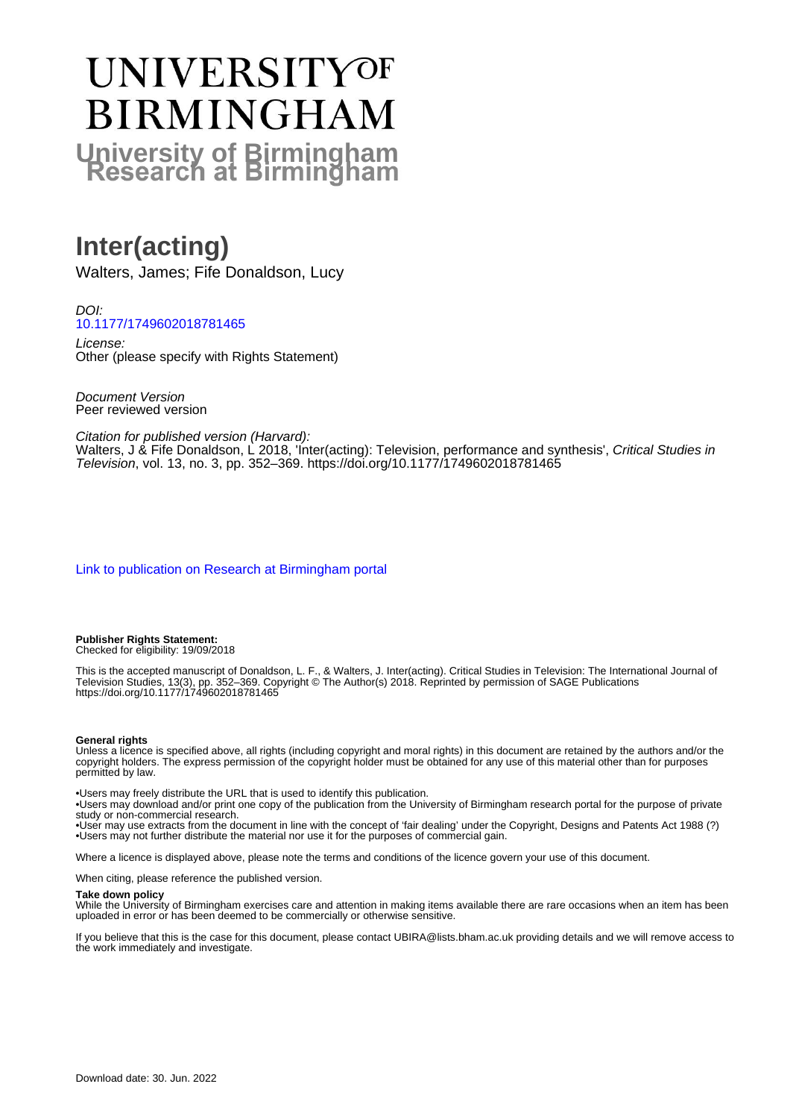# UNIVERSITYOF **BIRMINGHAM University of Birmingham**

# **Inter(acting)**

Walters, James; Fife Donaldson, Lucy

DOI: [10.1177/1749602018781465](https://doi.org/10.1177/1749602018781465)

License: Other (please specify with Rights Statement)

Document Version Peer reviewed version

Citation for published version (Harvard):

Walters, J & Fife Donaldson, L 2018, 'Inter(acting): Television, performance and synthesis', *Critical Studies in* Television, vol. 13, no. 3, pp. 352–369. <https://doi.org/10.1177/1749602018781465>

[Link to publication on Research at Birmingham portal](https://birmingham.elsevierpure.com/en/publications/3500f777-62a1-4b56-85ff-0a4dd4257ff5)

**Publisher Rights Statement:** Checked for eligibility: 19/09/2018

This is the accepted manuscript of Donaldson, L. F., & Walters, J. Inter(acting). Critical Studies in Television: The International Journal of Television Studies, 13(3), pp. 352–369. Copyright © The Author(s) 2018. Reprinted by permission of SAGE Publications https://doi.org/10.1177/1749602018781465

#### **General rights**

Unless a licence is specified above, all rights (including copyright and moral rights) in this document are retained by the authors and/or the copyright holders. The express permission of the copyright holder must be obtained for any use of this material other than for purposes permitted by law.

• Users may freely distribute the URL that is used to identify this publication.

• Users may download and/or print one copy of the publication from the University of Birmingham research portal for the purpose of private study or non-commercial research.

• User may use extracts from the document in line with the concept of 'fair dealing' under the Copyright, Designs and Patents Act 1988 (?) • Users may not further distribute the material nor use it for the purposes of commercial gain.

Where a licence is displayed above, please note the terms and conditions of the licence govern your use of this document.

When citing, please reference the published version.

#### **Take down policy**

While the University of Birmingham exercises care and attention in making items available there are rare occasions when an item has been uploaded in error or has been deemed to be commercially or otherwise sensitive.

If you believe that this is the case for this document, please contact UBIRA@lists.bham.ac.uk providing details and we will remove access to the work immediately and investigate.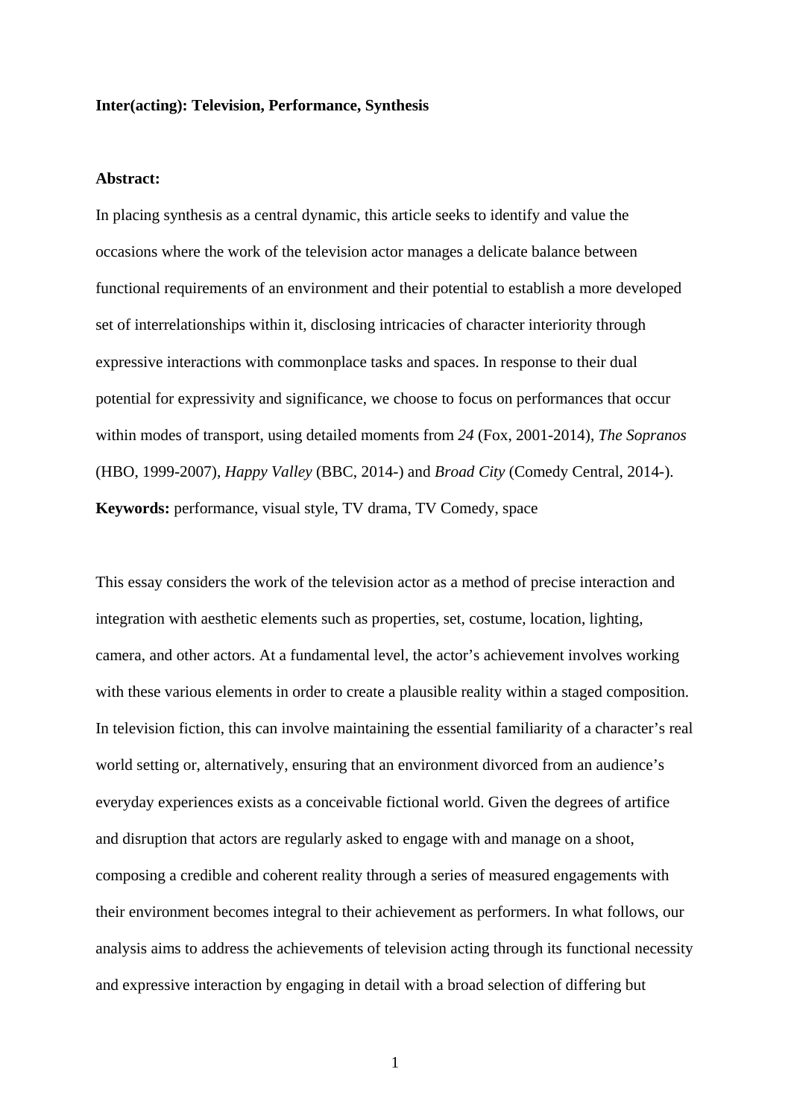#### **Inter(acting): Television, Performance, Synthesis**

#### **Abstract:**

In placing synthesis as a central dynamic, this article seeks to identify and value the occasions where the work of the television actor manages a delicate balance between functional requirements of an environment and their potential to establish a more developed set of interrelationships within it, disclosing intricacies of character interiority through expressive interactions with commonplace tasks and spaces. In response to their dual potential for expressivity and significance, we choose to focus on performances that occur within modes of transport, using detailed moments from *24* (Fox, 2001-2014), *The Sopranos*  (HBO, 1999-2007), *Happy Valley* (BBC, 2014-) and *Broad City* (Comedy Central, 2014-). **Keywords:** performance, visual style, TV drama, TV Comedy, space

This essay considers the work of the television actor as a method of precise interaction and integration with aesthetic elements such as properties, set, costume, location, lighting, camera, and other actors. At a fundamental level, the actor's achievement involves working with these various elements in order to create a plausible reality within a staged composition. In television fiction, this can involve maintaining the essential familiarity of a character's real world setting or, alternatively, ensuring that an environment divorced from an audience's everyday experiences exists as a conceivable fictional world. Given the degrees of artifice and disruption that actors are regularly asked to engage with and manage on a shoot, composing a credible and coherent reality through a series of measured engagements with their environment becomes integral to their achievement as performers. In what follows, our analysis aims to address the achievements of television acting through its functional necessity and expressive interaction by engaging in detail with a broad selection of differing but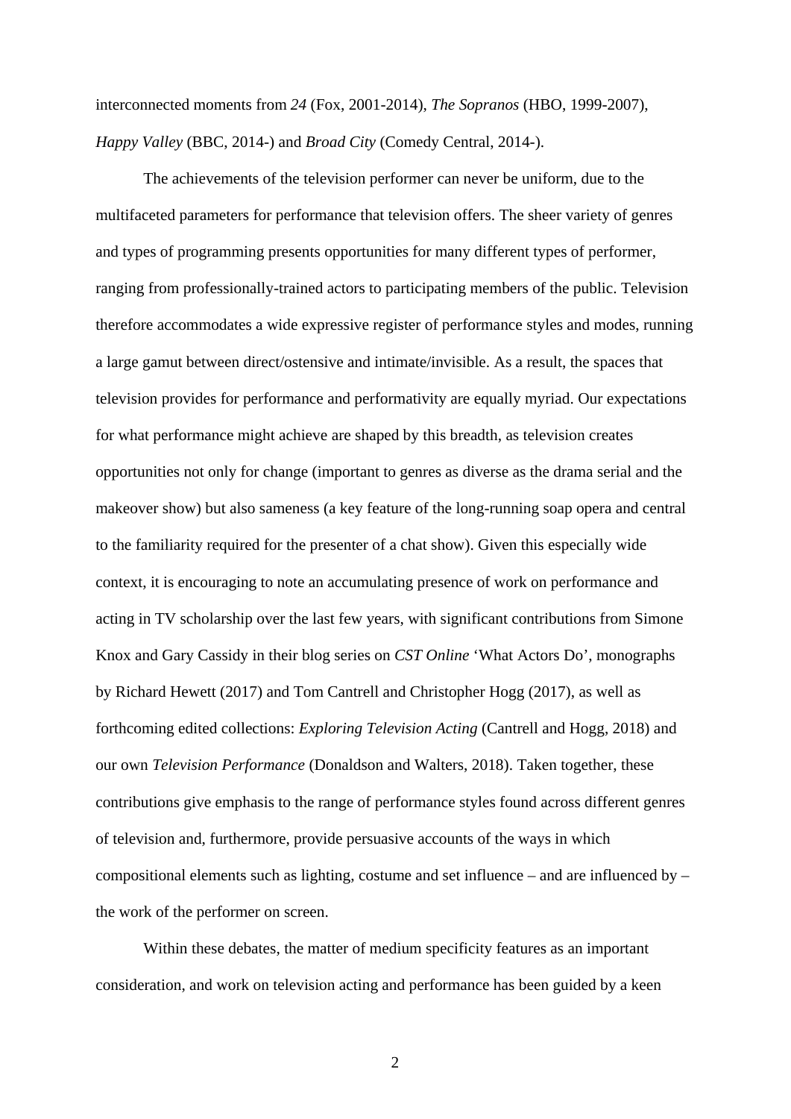interconnected moments from *24* (Fox, 2001-2014), *The Sopranos* (HBO, 1999-2007), *Happy Valley* (BBC, 2014-) and *Broad City* (Comedy Central, 2014-).

The achievements of the television performer can never be uniform, due to the multifaceted parameters for performance that television offers. The sheer variety of genres and types of programming presents opportunities for many different types of performer, ranging from professionally-trained actors to participating members of the public. Television therefore accommodates a wide expressive register of performance styles and modes, running a large gamut between direct/ostensive and intimate/invisible. As a result, the spaces that television provides for performance and performativity are equally myriad. Our expectations for what performance might achieve are shaped by this breadth, as television creates opportunities not only for change (important to genres as diverse as the drama serial and the makeover show) but also sameness (a key feature of the long-running soap opera and central to the familiarity required for the presenter of a chat show). Given this especially wide context, it is encouraging to note an accumulating presence of work on performance and acting in TV scholarship over the last few years, with significant contributions from Simone Knox and Gary Cassidy in their blog series on *CST Online* 'What Actors Do', monographs by Richard Hewett (2017) and Tom Cantrell and Christopher Hogg (2017), as well as forthcoming edited collections: *Exploring Television Acting* (Cantrell and Hogg, 2018) and our own *Television Performance* (Donaldson and Walters, 2018). Taken together, these contributions give emphasis to the range of performance styles found across different genres of television and, furthermore, provide persuasive accounts of the ways in which compositional elements such as lighting, costume and set influence – and are influenced by – the work of the performer on screen.

Within these debates, the matter of medium specificity features as an important consideration, and work on television acting and performance has been guided by a keen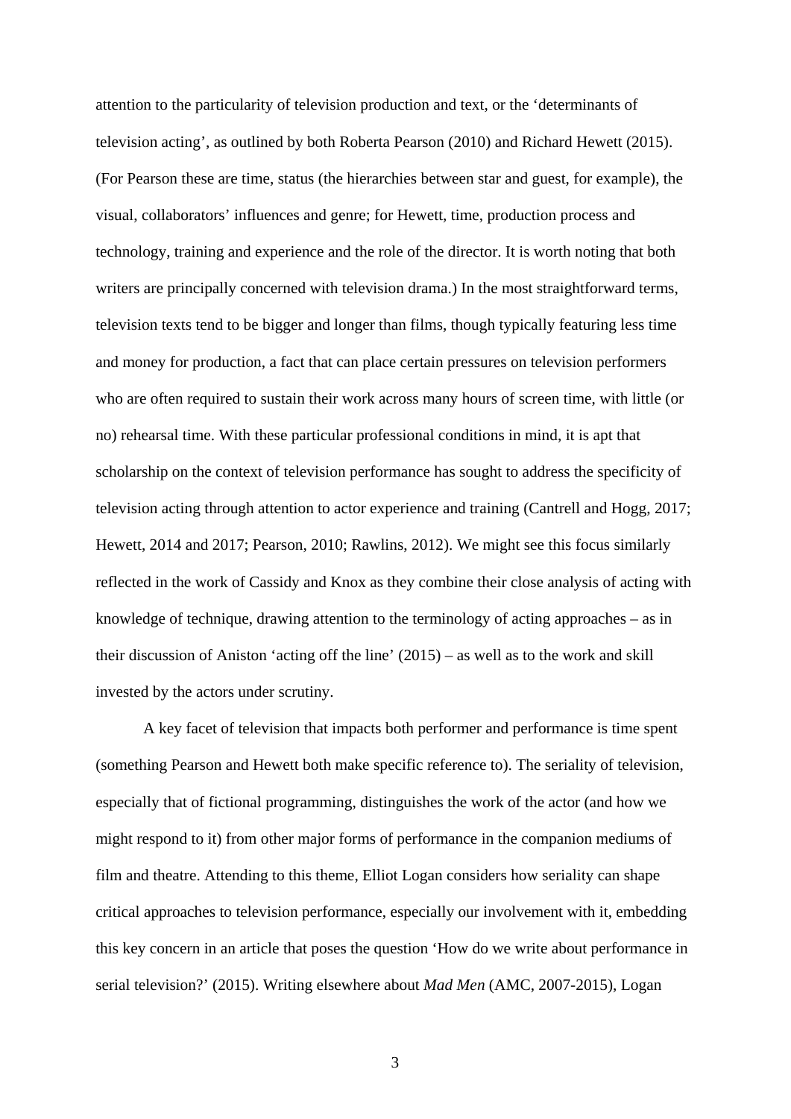attention to the particularity of television production and text, or the 'determinants of television acting', as outlined by both Roberta Pearson (2010) and Richard Hewett (2015). (For Pearson these are time, status (the hierarchies between star and guest, for example), the visual, collaborators' influences and genre; for Hewett, time, production process and technology, training and experience and the role of the director. It is worth noting that both writers are principally concerned with television drama.) In the most straightforward terms, television texts tend to be bigger and longer than films, though typically featuring less time and money for production, a fact that can place certain pressures on television performers who are often required to sustain their work across many hours of screen time, with little (or no) rehearsal time. With these particular professional conditions in mind, it is apt that scholarship on the context of television performance has sought to address the specificity of television acting through attention to actor experience and training (Cantrell and Hogg, 2017; Hewett, 2014 and 2017; Pearson, 2010; Rawlins, 2012). We might see this focus similarly reflected in the work of Cassidy and Knox as they combine their close analysis of acting with knowledge of technique, drawing attention to the terminology of acting approaches – as in their discussion of Aniston 'acting off the line' (2015) – as well as to the work and skill invested by the actors under scrutiny.

A key facet of television that impacts both performer and performance is time spent (something Pearson and Hewett both make specific reference to). The seriality of television, especially that of fictional programming, distinguishes the work of the actor (and how we might respond to it) from other major forms of performance in the companion mediums of film and theatre. Attending to this theme, Elliot Logan considers how seriality can shape critical approaches to television performance, especially our involvement with it, embedding this key concern in an article that poses the question 'How do we write about performance in serial television?' (2015). Writing elsewhere about *Mad Men* (AMC, 2007-2015), Logan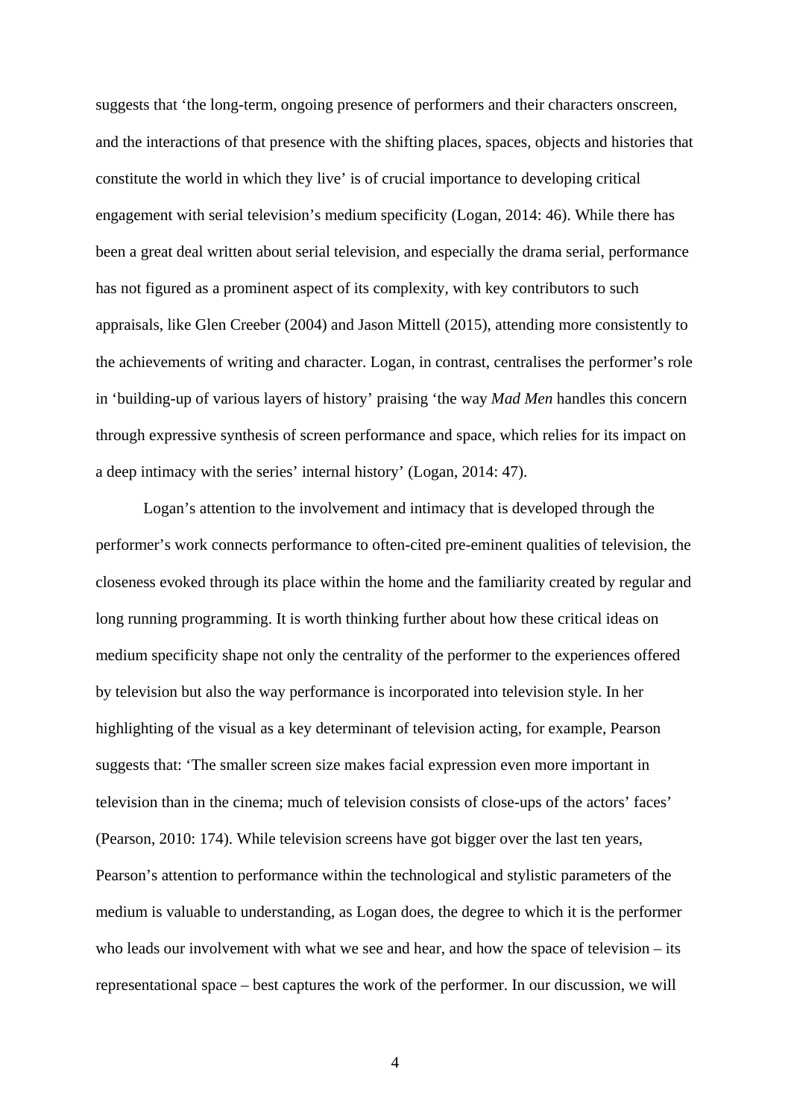suggests that 'the long-term, ongoing presence of performers and their characters onscreen, and the interactions of that presence with the shifting places, spaces, objects and histories that constitute the world in which they live' is of crucial importance to developing critical engagement with serial television's medium specificity (Logan, 2014: 46). While there has been a great deal written about serial television, and especially the drama serial, performance has not figured as a prominent aspect of its complexity, with key contributors to such appraisals, like Glen Creeber (2004) and Jason Mittell (2015), attending more consistently to the achievements of writing and character. Logan, in contrast, centralises the performer's role in 'building-up of various layers of history' praising 'the way *Mad Men* handles this concern through expressive synthesis of screen performance and space, which relies for its impact on a deep intimacy with the series' internal history' (Logan, 2014: 47).

Logan's attention to the involvement and intimacy that is developed through the performer's work connects performance to often-cited pre-eminent qualities of television, the closeness evoked through its place within the home and the familiarity created by regular and long running programming. It is worth thinking further about how these critical ideas on medium specificity shape not only the centrality of the performer to the experiences offered by television but also the way performance is incorporated into television style. In her highlighting of the visual as a key determinant of television acting, for example, Pearson suggests that: 'The smaller screen size makes facial expression even more important in television than in the cinema; much of television consists of close-ups of the actors' faces' (Pearson, 2010: 174). While television screens have got bigger over the last ten years, Pearson's attention to performance within the technological and stylistic parameters of the medium is valuable to understanding, as Logan does, the degree to which it is the performer who leads our involvement with what we see and hear, and how the space of television – its representational space – best captures the work of the performer. In our discussion, we will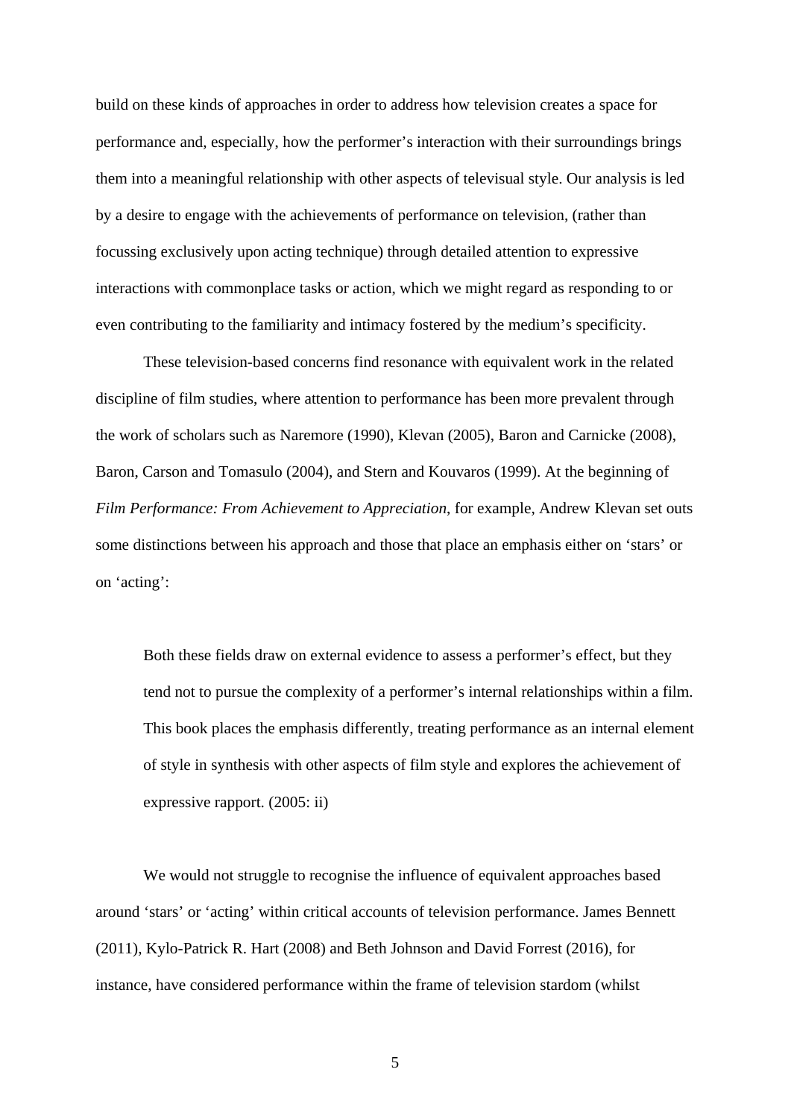build on these kinds of approaches in order to address how television creates a space for performance and, especially, how the performer's interaction with their surroundings brings them into a meaningful relationship with other aspects of televisual style. Our analysis is led by a desire to engage with the achievements of performance on television, (rather than focussing exclusively upon acting technique) through detailed attention to expressive interactions with commonplace tasks or action, which we might regard as responding to or even contributing to the familiarity and intimacy fostered by the medium's specificity.

These television-based concerns find resonance with equivalent work in the related discipline of film studies, where attention to performance has been more prevalent through the work of scholars such as Naremore (1990), Klevan (2005), Baron and Carnicke (2008), Baron, Carson and Tomasulo (2004), and Stern and Kouvaros (1999). At the beginning of *Film Performance: From Achievement to Appreciation*, for example, Andrew Klevan set outs some distinctions between his approach and those that place an emphasis either on 'stars' or on 'acting':

Both these fields draw on external evidence to assess a performer's effect, but they tend not to pursue the complexity of a performer's internal relationships within a film. This book places the emphasis differently, treating performance as an internal element of style in synthesis with other aspects of film style and explores the achievement of expressive rapport. (2005: ii)

We would not struggle to recognise the influence of equivalent approaches based around 'stars' or 'acting' within critical accounts of television performance. James Bennett (2011), Kylo-Patrick R. Hart (2008) and Beth Johnson and David Forrest (2016), for instance, have considered performance within the frame of television stardom (whilst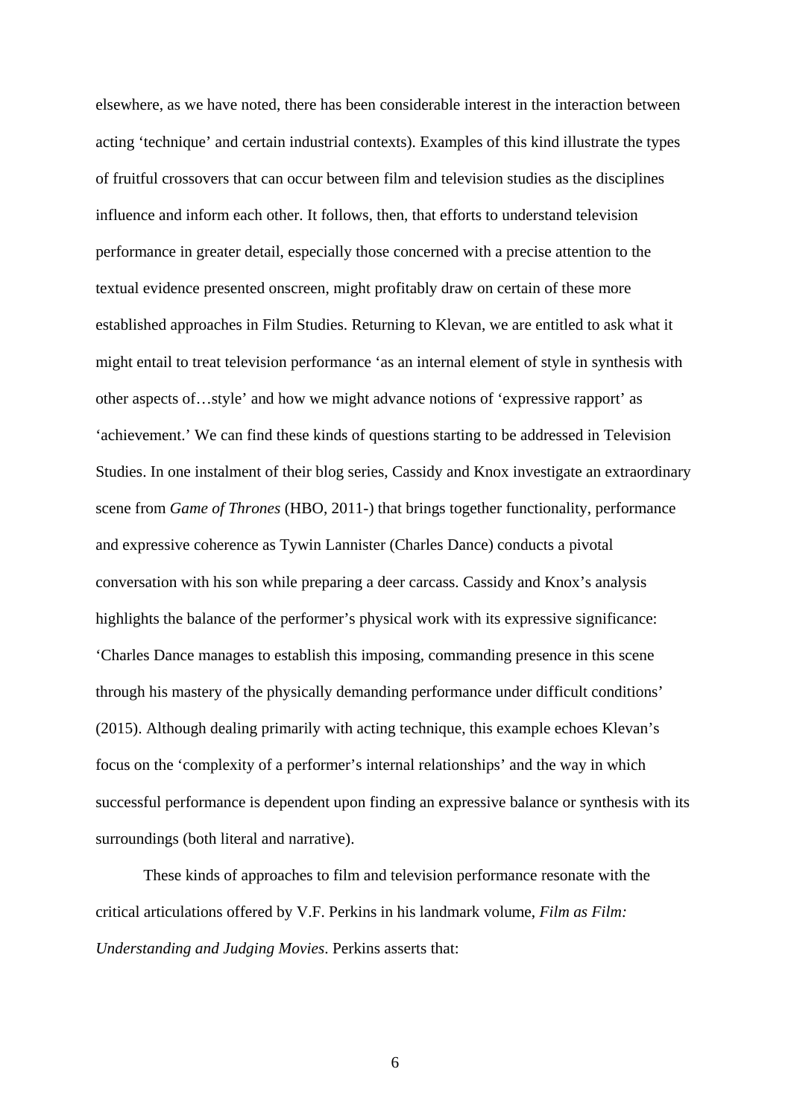elsewhere, as we have noted, there has been considerable interest in the interaction between acting 'technique' and certain industrial contexts). Examples of this kind illustrate the types of fruitful crossovers that can occur between film and television studies as the disciplines influence and inform each other. It follows, then, that efforts to understand television performance in greater detail, especially those concerned with a precise attention to the textual evidence presented onscreen, might profitably draw on certain of these more established approaches in Film Studies. Returning to Klevan, we are entitled to ask what it might entail to treat television performance 'as an internal element of style in synthesis with other aspects of…style' and how we might advance notions of 'expressive rapport' as 'achievement.' We can find these kinds of questions starting to be addressed in Television Studies. In one instalment of their blog series, Cassidy and Knox investigate an extraordinary scene from *Game of Thrones* (HBO, 2011-) that brings together functionality, performance and expressive coherence as Tywin Lannister (Charles Dance) conducts a pivotal conversation with his son while preparing a deer carcass. Cassidy and Knox's analysis highlights the balance of the performer's physical work with its expressive significance: 'Charles Dance manages to establish this imposing, commanding presence in this scene through his mastery of the physically demanding performance under difficult conditions' (2015). Although dealing primarily with acting technique, this example echoes Klevan's focus on the 'complexity of a performer's internal relationships' and the way in which successful performance is dependent upon finding an expressive balance or synthesis with its surroundings (both literal and narrative).

 These kinds of approaches to film and television performance resonate with the critical articulations offered by V.F. Perkins in his landmark volume, *Film as Film: Understanding and Judging Movies*. Perkins asserts that: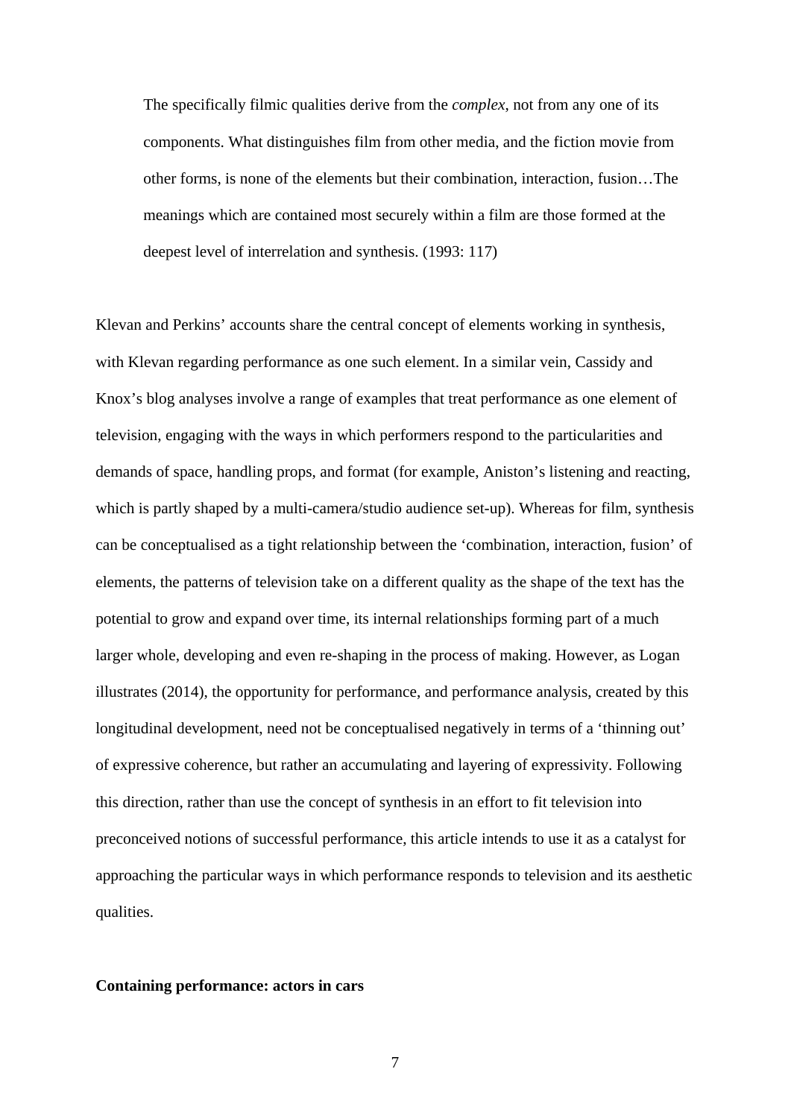The specifically filmic qualities derive from the *complex*, not from any one of its components. What distinguishes film from other media, and the fiction movie from other forms, is none of the elements but their combination, interaction, fusion…The meanings which are contained most securely within a film are those formed at the deepest level of interrelation and synthesis. (1993: 117)

Klevan and Perkins' accounts share the central concept of elements working in synthesis, with Klevan regarding performance as one such element. In a similar vein, Cassidy and Knox's blog analyses involve a range of examples that treat performance as one element of television, engaging with the ways in which performers respond to the particularities and demands of space, handling props, and format (for example, Aniston's listening and reacting, which is partly shaped by a multi-camera/studio audience set-up). Whereas for film, synthesis can be conceptualised as a tight relationship between the 'combination, interaction, fusion' of elements, the patterns of television take on a different quality as the shape of the text has the potential to grow and expand over time, its internal relationships forming part of a much larger whole, developing and even re-shaping in the process of making. However, as Logan illustrates (2014), the opportunity for performance, and performance analysis, created by this longitudinal development, need not be conceptualised negatively in terms of a 'thinning out' of expressive coherence, but rather an accumulating and layering of expressivity. Following this direction, rather than use the concept of synthesis in an effort to fit television into preconceived notions of successful performance, this article intends to use it as a catalyst for approaching the particular ways in which performance responds to television and its aesthetic qualities.

#### **Containing performance: actors in cars**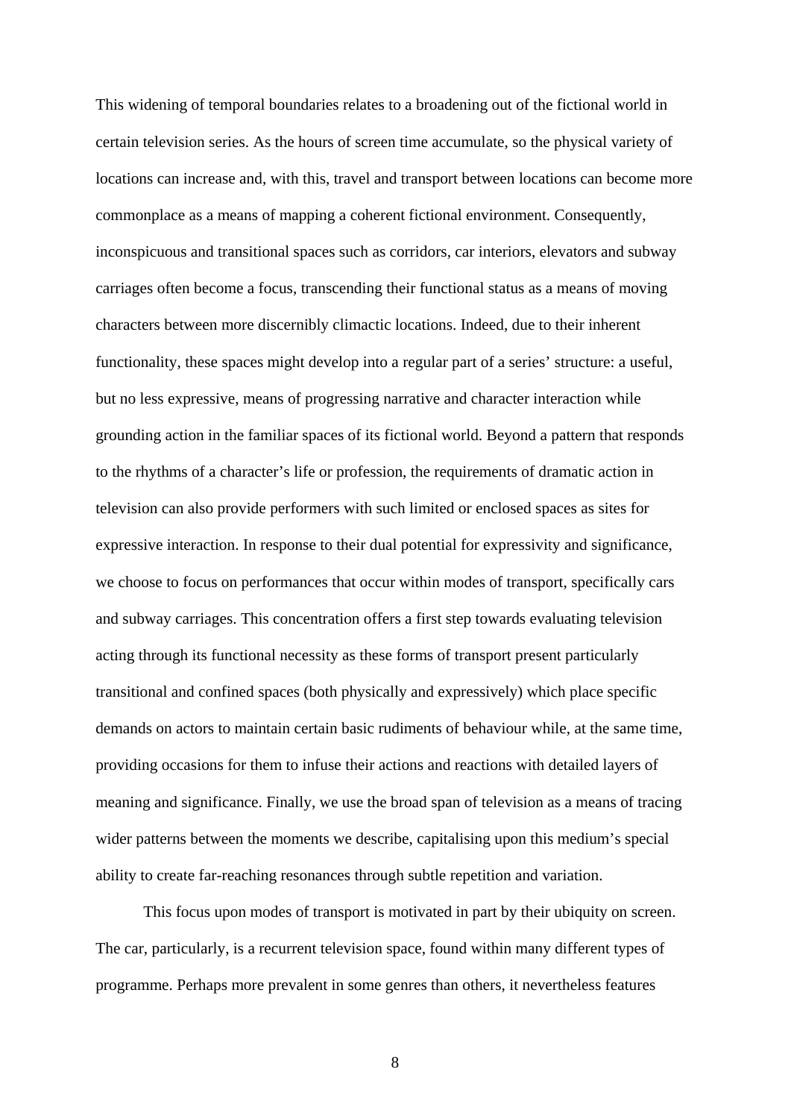This widening of temporal boundaries relates to a broadening out of the fictional world in certain television series. As the hours of screen time accumulate, so the physical variety of locations can increase and, with this, travel and transport between locations can become more commonplace as a means of mapping a coherent fictional environment. Consequently, inconspicuous and transitional spaces such as corridors, car interiors, elevators and subway carriages often become a focus, transcending their functional status as a means of moving characters between more discernibly climactic locations. Indeed, due to their inherent functionality, these spaces might develop into a regular part of a series' structure: a useful, but no less expressive, means of progressing narrative and character interaction while grounding action in the familiar spaces of its fictional world. Beyond a pattern that responds to the rhythms of a character's life or profession, the requirements of dramatic action in television can also provide performers with such limited or enclosed spaces as sites for expressive interaction. In response to their dual potential for expressivity and significance, we choose to focus on performances that occur within modes of transport, specifically cars and subway carriages. This concentration offers a first step towards evaluating television acting through its functional necessity as these forms of transport present particularly transitional and confined spaces (both physically and expressively) which place specific demands on actors to maintain certain basic rudiments of behaviour while, at the same time, providing occasions for them to infuse their actions and reactions with detailed layers of meaning and significance. Finally, we use the broad span of television as a means of tracing wider patterns between the moments we describe, capitalising upon this medium's special ability to create far-reaching resonances through subtle repetition and variation.

This focus upon modes of transport is motivated in part by their ubiquity on screen. The car, particularly, is a recurrent television space, found within many different types of programme. Perhaps more prevalent in some genres than others, it nevertheless features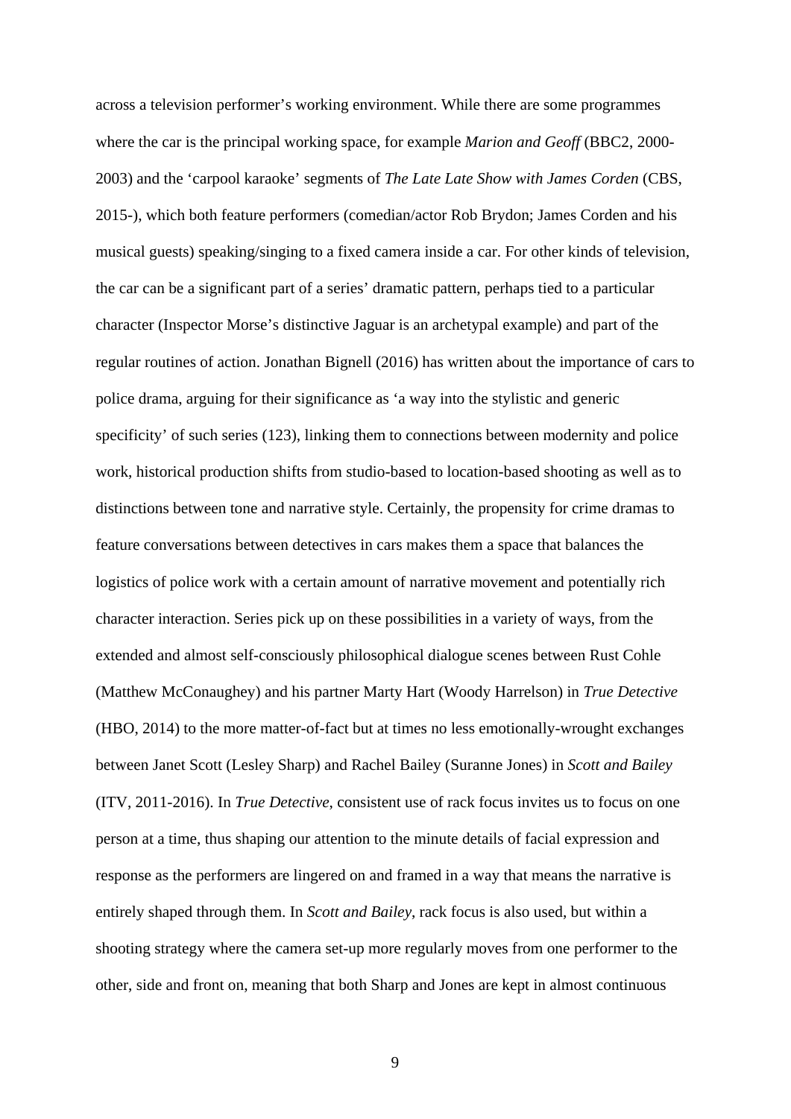across a television performer's working environment. While there are some programmes where the car is the principal working space, for example *Marion and Geoff* (BBC2, 2000- 2003) and the 'carpool karaoke' segments of *The Late Late Show with James Corden* (CBS, 2015-), which both feature performers (comedian/actor Rob Brydon; James Corden and his musical guests) speaking/singing to a fixed camera inside a car. For other kinds of television, the car can be a significant part of a series' dramatic pattern, perhaps tied to a particular character (Inspector Morse's distinctive Jaguar is an archetypal example) and part of the regular routines of action. Jonathan Bignell (2016) has written about the importance of cars to police drama, arguing for their significance as 'a way into the stylistic and generic specificity' of such series (123), linking them to connections between modernity and police work, historical production shifts from studio-based to location-based shooting as well as to distinctions between tone and narrative style. Certainly, the propensity for crime dramas to feature conversations between detectives in cars makes them a space that balances the logistics of police work with a certain amount of narrative movement and potentially rich character interaction. Series pick up on these possibilities in a variety of ways, from the extended and almost self-consciously philosophical dialogue scenes between Rust Cohle (Matthew McConaughey) and his partner Marty Hart (Woody Harrelson) in *True Detective*  (HBO, 2014) to the more matter-of-fact but at times no less emotionally-wrought exchanges between Janet Scott (Lesley Sharp) and Rachel Bailey (Suranne Jones) in *Scott and Bailey*  (ITV, 2011-2016). In *True Detective*, consistent use of rack focus invites us to focus on one person at a time, thus shaping our attention to the minute details of facial expression and response as the performers are lingered on and framed in a way that means the narrative is entirely shaped through them. In *Scott and Bailey*, rack focus is also used, but within a shooting strategy where the camera set-up more regularly moves from one performer to the other, side and front on, meaning that both Sharp and Jones are kept in almost continuous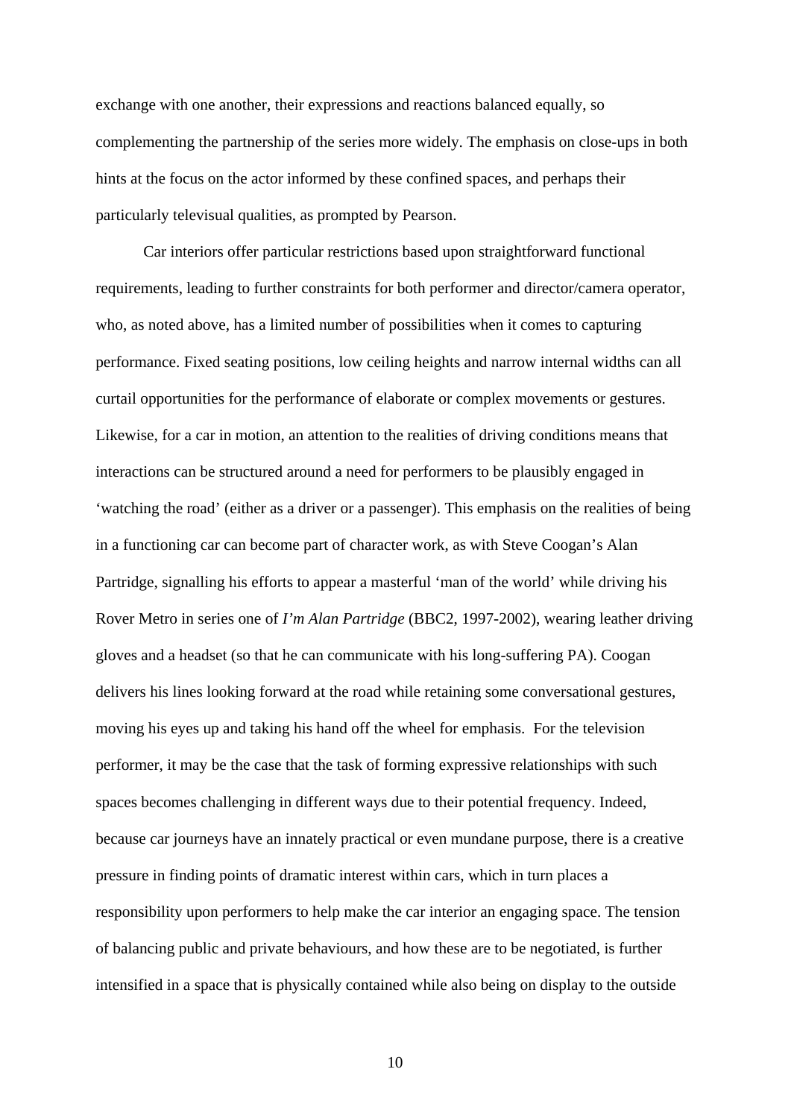exchange with one another, their expressions and reactions balanced equally, so complementing the partnership of the series more widely. The emphasis on close-ups in both hints at the focus on the actor informed by these confined spaces, and perhaps their particularly televisual qualities, as prompted by Pearson.

Car interiors offer particular restrictions based upon straightforward functional requirements, leading to further constraints for both performer and director/camera operator, who, as noted above, has a limited number of possibilities when it comes to capturing performance. Fixed seating positions, low ceiling heights and narrow internal widths can all curtail opportunities for the performance of elaborate or complex movements or gestures. Likewise, for a car in motion, an attention to the realities of driving conditions means that interactions can be structured around a need for performers to be plausibly engaged in 'watching the road' (either as a driver or a passenger). This emphasis on the realities of being in a functioning car can become part of character work, as with Steve Coogan's Alan Partridge, signalling his efforts to appear a masterful 'man of the world' while driving his Rover Metro in series one of *I'm Alan Partridge* (BBC2, 1997-2002), wearing leather driving gloves and a headset (so that he can communicate with his long-suffering PA). Coogan delivers his lines looking forward at the road while retaining some conversational gestures, moving his eyes up and taking his hand off the wheel for emphasis. For the television performer, it may be the case that the task of forming expressive relationships with such spaces becomes challenging in different ways due to their potential frequency. Indeed, because car journeys have an innately practical or even mundane purpose, there is a creative pressure in finding points of dramatic interest within cars, which in turn places a responsibility upon performers to help make the car interior an engaging space. The tension of balancing public and private behaviours, and how these are to be negotiated, is further intensified in a space that is physically contained while also being on display to the outside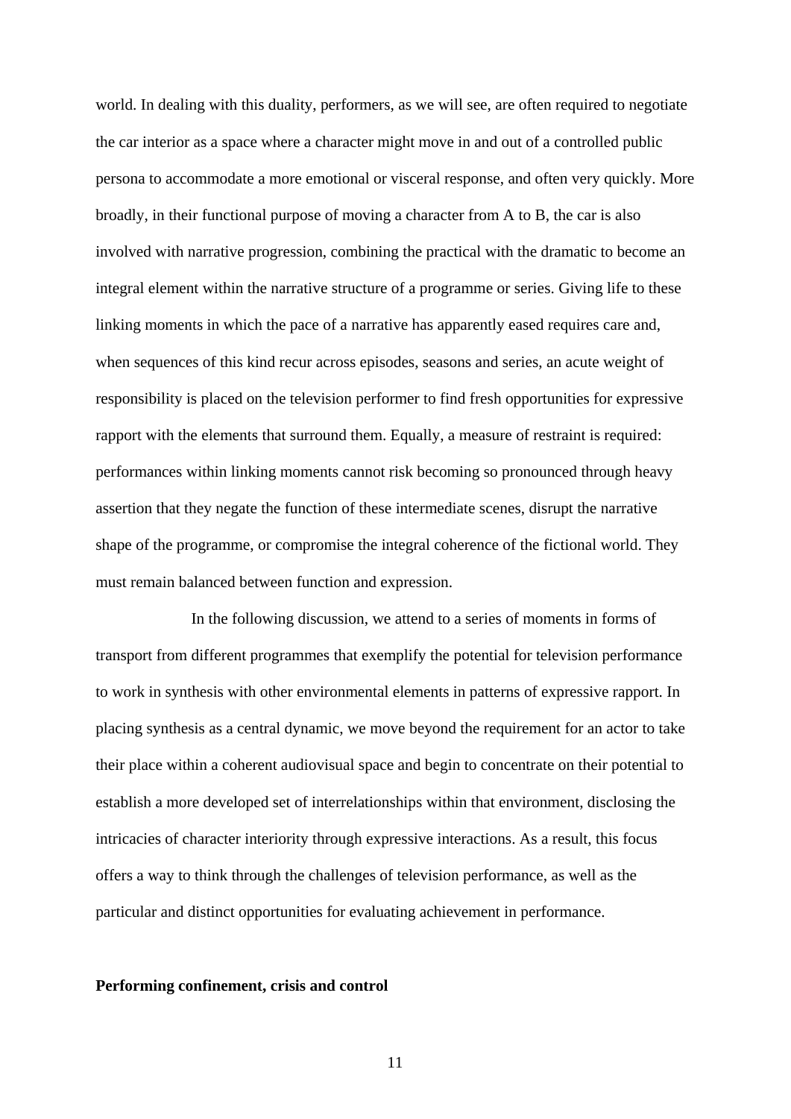world. In dealing with this duality, performers, as we will see, are often required to negotiate the car interior as a space where a character might move in and out of a controlled public persona to accommodate a more emotional or visceral response, and often very quickly. More broadly, in their functional purpose of moving a character from A to B, the car is also involved with narrative progression, combining the practical with the dramatic to become an integral element within the narrative structure of a programme or series. Giving life to these linking moments in which the pace of a narrative has apparently eased requires care and, when sequences of this kind recur across episodes, seasons and series, an acute weight of responsibility is placed on the television performer to find fresh opportunities for expressive rapport with the elements that surround them. Equally, a measure of restraint is required: performances within linking moments cannot risk becoming so pronounced through heavy assertion that they negate the function of these intermediate scenes, disrupt the narrative shape of the programme, or compromise the integral coherence of the fictional world. They must remain balanced between function and expression.

 In the following discussion, we attend to a series of moments in forms of transport from different programmes that exemplify the potential for television performance to work in synthesis with other environmental elements in patterns of expressive rapport. In placing synthesis as a central dynamic, we move beyond the requirement for an actor to take their place within a coherent audiovisual space and begin to concentrate on their potential to establish a more developed set of interrelationships within that environment, disclosing the intricacies of character interiority through expressive interactions. As a result, this focus offers a way to think through the challenges of television performance, as well as the particular and distinct opportunities for evaluating achievement in performance.

#### **Performing confinement, crisis and control**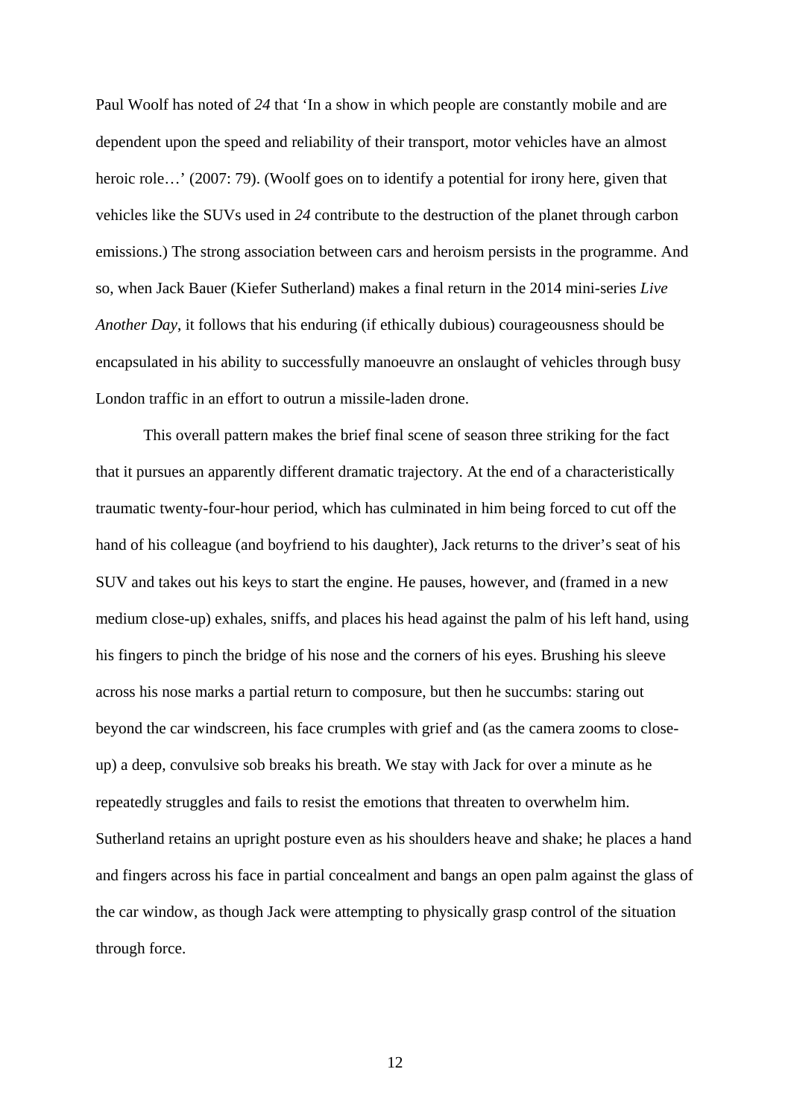Paul Woolf has noted of *24* that 'In a show in which people are constantly mobile and are dependent upon the speed and reliability of their transport, motor vehicles have an almost heroic role…' (2007: 79). (Woolf goes on to identify a potential for irony here, given that vehicles like the SUVs used in *24* contribute to the destruction of the planet through carbon emissions.) The strong association between cars and heroism persists in the programme. And so, when Jack Bauer (Kiefer Sutherland) makes a final return in the 2014 mini-series *Live Another Day*, it follows that his enduring (if ethically dubious) courageousness should be encapsulated in his ability to successfully manoeuvre an onslaught of vehicles through busy London traffic in an effort to outrun a missile-laden drone.

This overall pattern makes the brief final scene of season three striking for the fact that it pursues an apparently different dramatic trajectory. At the end of a characteristically traumatic twenty-four-hour period, which has culminated in him being forced to cut off the hand of his colleague (and boyfriend to his daughter), Jack returns to the driver's seat of his SUV and takes out his keys to start the engine. He pauses, however, and (framed in a new medium close-up) exhales, sniffs, and places his head against the palm of his left hand, using his fingers to pinch the bridge of his nose and the corners of his eyes. Brushing his sleeve across his nose marks a partial return to composure, but then he succumbs: staring out beyond the car windscreen, his face crumples with grief and (as the camera zooms to closeup) a deep, convulsive sob breaks his breath. We stay with Jack for over a minute as he repeatedly struggles and fails to resist the emotions that threaten to overwhelm him. Sutherland retains an upright posture even as his shoulders heave and shake; he places a hand and fingers across his face in partial concealment and bangs an open palm against the glass of the car window, as though Jack were attempting to physically grasp control of the situation through force.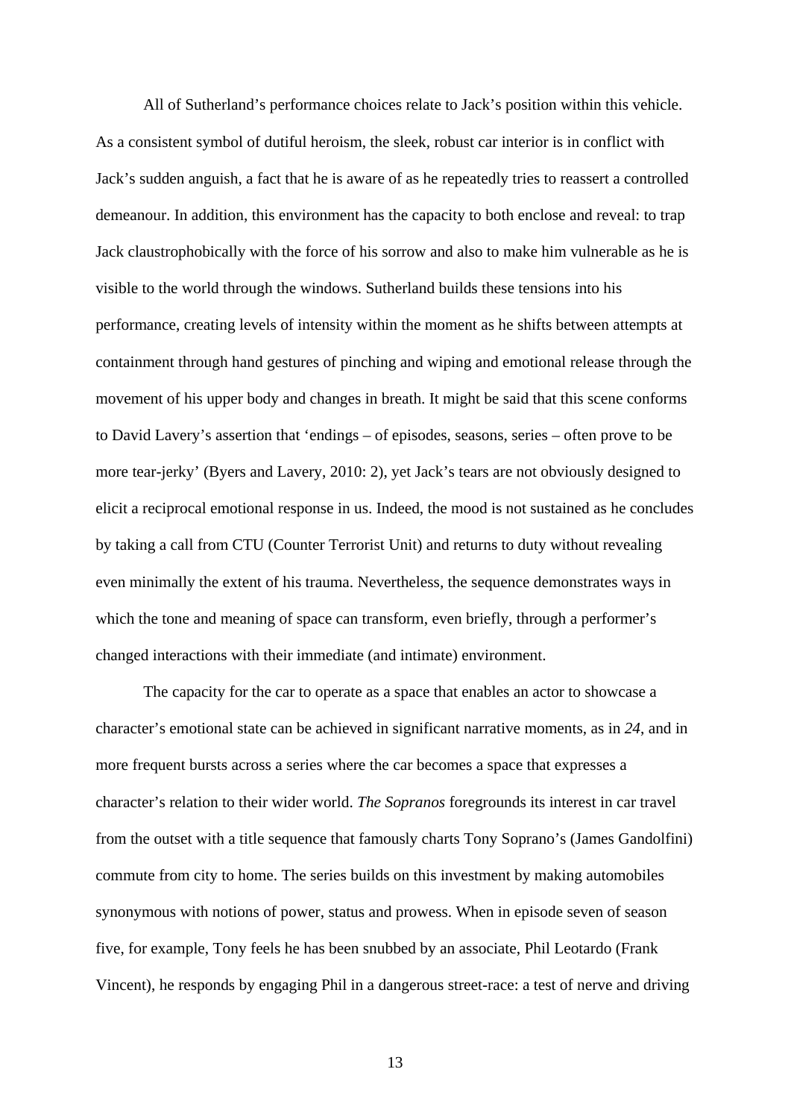All of Sutherland's performance choices relate to Jack's position within this vehicle. As a consistent symbol of dutiful heroism, the sleek, robust car interior is in conflict with Jack's sudden anguish, a fact that he is aware of as he repeatedly tries to reassert a controlled demeanour. In addition, this environment has the capacity to both enclose and reveal: to trap Jack claustrophobically with the force of his sorrow and also to make him vulnerable as he is visible to the world through the windows. Sutherland builds these tensions into his performance, creating levels of intensity within the moment as he shifts between attempts at containment through hand gestures of pinching and wiping and emotional release through the movement of his upper body and changes in breath. It might be said that this scene conforms to David Lavery's assertion that 'endings – of episodes, seasons, series – often prove to be more tear-jerky' (Byers and Lavery, 2010: 2), yet Jack's tears are not obviously designed to elicit a reciprocal emotional response in us. Indeed, the mood is not sustained as he concludes by taking a call from CTU (Counter Terrorist Unit) and returns to duty without revealing even minimally the extent of his trauma. Nevertheless, the sequence demonstrates ways in which the tone and meaning of space can transform, even briefly, through a performer's changed interactions with their immediate (and intimate) environment.

The capacity for the car to operate as a space that enables an actor to showcase a character's emotional state can be achieved in significant narrative moments, as in *24*, and in more frequent bursts across a series where the car becomes a space that expresses a character's relation to their wider world. *The Sopranos* foregrounds its interest in car travel from the outset with a title sequence that famously charts Tony Soprano's (James Gandolfini) commute from city to home. The series builds on this investment by making automobiles synonymous with notions of power, status and prowess. When in episode seven of season five, for example, Tony feels he has been snubbed by an associate, Phil Leotardo (Frank Vincent), he responds by engaging Phil in a dangerous street-race: a test of nerve and driving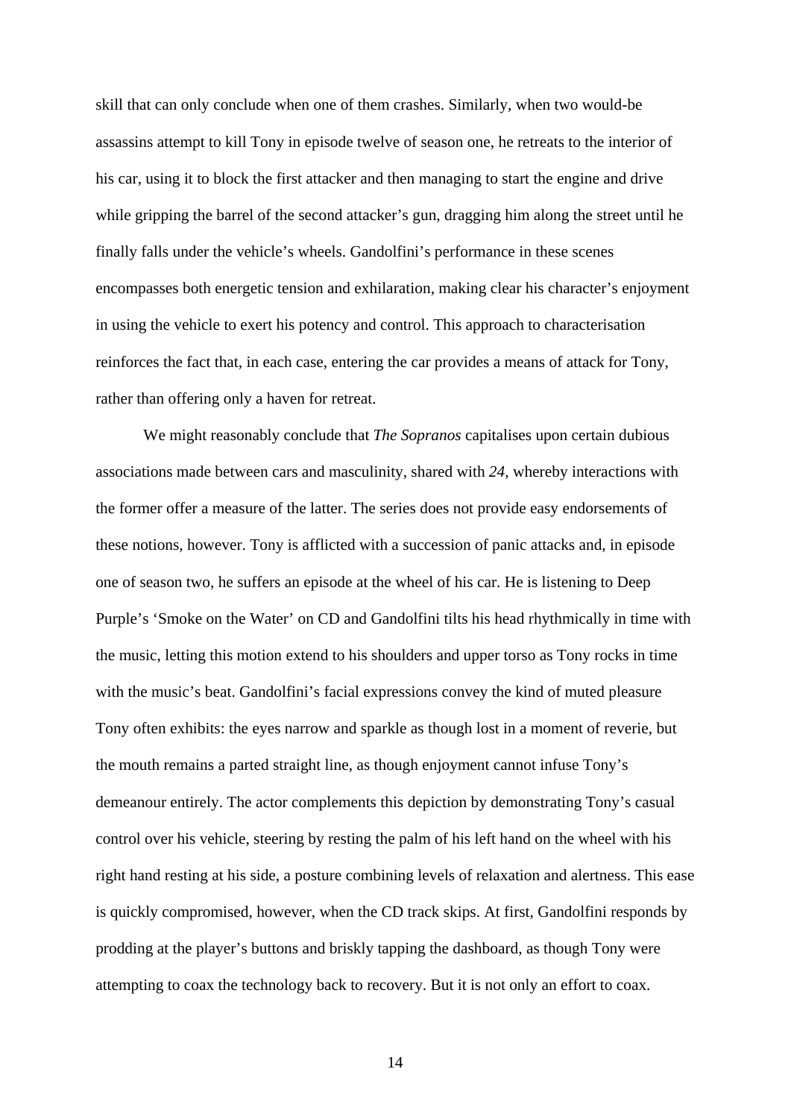skill that can only conclude when one of them crashes. Similarly, when two would-be assassins attempt to kill Tony in episode twelve of season one, he retreats to the interior of his car, using it to block the first attacker and then managing to start the engine and drive while gripping the barrel of the second attacker's gun, dragging him along the street until he finally falls under the vehicle's wheels. Gandolfini's performance in these scenes encompasses both energetic tension and exhilaration, making clear his character's enjoyment in using the vehicle to exert his potency and control. This approach to characterisation reinforces the fact that, in each case, entering the car provides a means of attack for Tony, rather than offering only a haven for retreat.

We might reasonably conclude that *The Sopranos* capitalises upon certain dubious associations made between cars and masculinity, shared with *24*, whereby interactions with the former offer a measure of the latter. The series does not provide easy endorsements of these notions, however. Tony is afflicted with a succession of panic attacks and, in episode one of season two, he suffers an episode at the wheel of his car. He is listening to Deep Purple's 'Smoke on the Water' on CD and Gandolfini tilts his head rhythmically in time with the music, letting this motion extend to his shoulders and upper torso as Tony rocks in time with the music's beat. Gandolfini's facial expressions convey the kind of muted pleasure Tony often exhibits: the eyes narrow and sparkle as though lost in a moment of reverie, but the mouth remains a parted straight line, as though enjoyment cannot infuse Tony's demeanour entirely. The actor complements this depiction by demonstrating Tony's casual control over his vehicle, steering by resting the palm of his left hand on the wheel with his right hand resting at his side, a posture combining levels of relaxation and alertness. This ease is quickly compromised, however, when the CD track skips. At first, Gandolfini responds by prodding at the player's buttons and briskly tapping the dashboard, as though Tony were attempting to coax the technology back to recovery. But it is not only an effort to coax.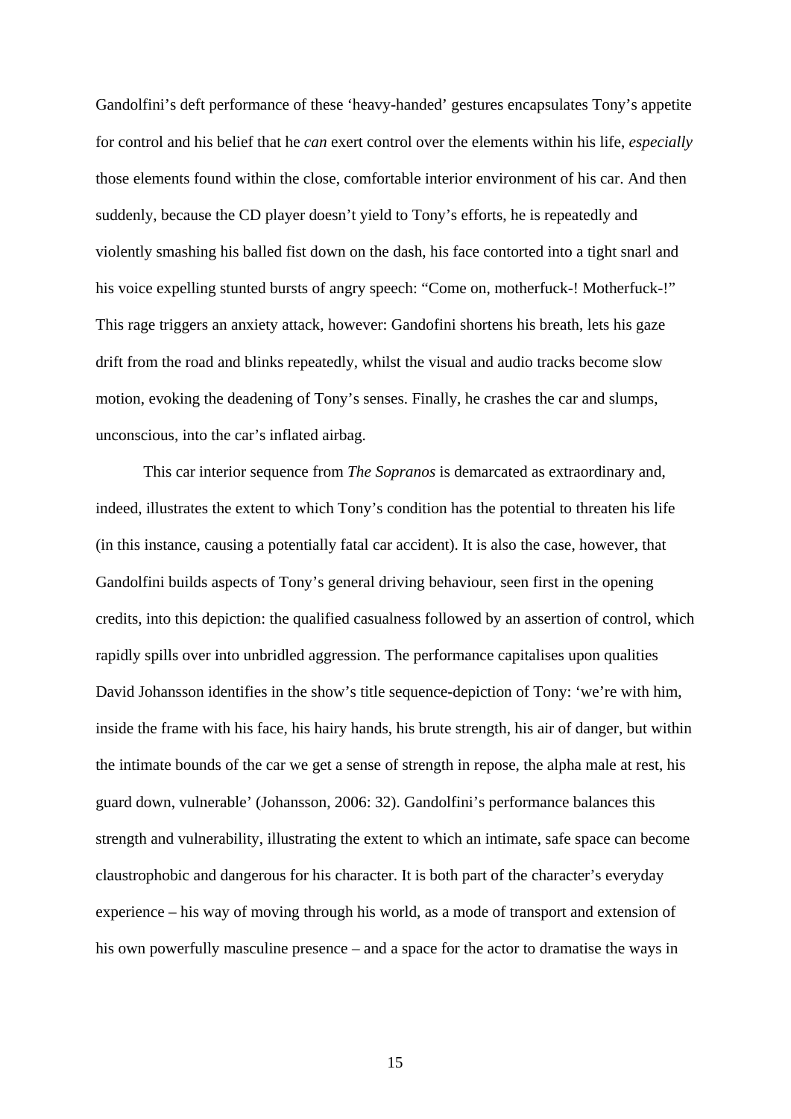Gandolfini's deft performance of these 'heavy-handed' gestures encapsulates Tony's appetite for control and his belief that he *can* exert control over the elements within his life, *especially* those elements found within the close, comfortable interior environment of his car. And then suddenly, because the CD player doesn't yield to Tony's efforts, he is repeatedly and violently smashing his balled fist down on the dash, his face contorted into a tight snarl and his voice expelling stunted bursts of angry speech: "Come on, motherfuck-! Motherfuck-!" This rage triggers an anxiety attack, however: Gandofini shortens his breath, lets his gaze drift from the road and blinks repeatedly, whilst the visual and audio tracks become slow motion, evoking the deadening of Tony's senses. Finally, he crashes the car and slumps, unconscious, into the car's inflated airbag.

 This car interior sequence from *The Sopranos* is demarcated as extraordinary and, indeed, illustrates the extent to which Tony's condition has the potential to threaten his life (in this instance, causing a potentially fatal car accident). It is also the case, however, that Gandolfini builds aspects of Tony's general driving behaviour, seen first in the opening credits, into this depiction: the qualified casualness followed by an assertion of control, which rapidly spills over into unbridled aggression. The performance capitalises upon qualities David Johansson identifies in the show's title sequence-depiction of Tony: 'we're with him, inside the frame with his face, his hairy hands, his brute strength, his air of danger, but within the intimate bounds of the car we get a sense of strength in repose, the alpha male at rest, his guard down, vulnerable' (Johansson, 2006: 32). Gandolfini's performance balances this strength and vulnerability, illustrating the extent to which an intimate, safe space can become claustrophobic and dangerous for his character. It is both part of the character's everyday experience – his way of moving through his world, as a mode of transport and extension of his own powerfully masculine presence – and a space for the actor to dramatise the ways in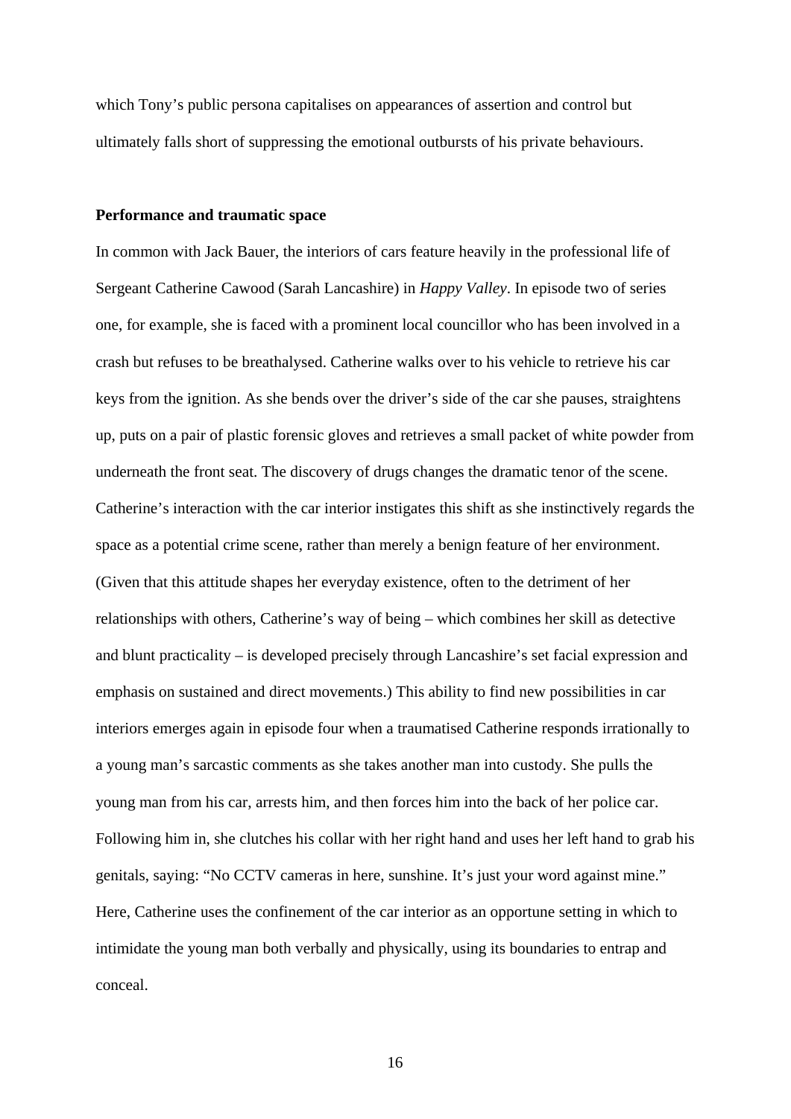which Tony's public persona capitalises on appearances of assertion and control but ultimately falls short of suppressing the emotional outbursts of his private behaviours.

#### **Performance and traumatic space**

In common with Jack Bauer, the interiors of cars feature heavily in the professional life of Sergeant Catherine Cawood (Sarah Lancashire) in *Happy Valley*. In episode two of series one, for example, she is faced with a prominent local councillor who has been involved in a crash but refuses to be breathalysed. Catherine walks over to his vehicle to retrieve his car keys from the ignition. As she bends over the driver's side of the car she pauses, straightens up, puts on a pair of plastic forensic gloves and retrieves a small packet of white powder from underneath the front seat. The discovery of drugs changes the dramatic tenor of the scene. Catherine's interaction with the car interior instigates this shift as she instinctively regards the space as a potential crime scene, rather than merely a benign feature of her environment. (Given that this attitude shapes her everyday existence, often to the detriment of her relationships with others, Catherine's way of being – which combines her skill as detective and blunt practicality – is developed precisely through Lancashire's set facial expression and emphasis on sustained and direct movements.) This ability to find new possibilities in car interiors emerges again in episode four when a traumatised Catherine responds irrationally to a young man's sarcastic comments as she takes another man into custody. She pulls the young man from his car, arrests him, and then forces him into the back of her police car. Following him in, she clutches his collar with her right hand and uses her left hand to grab his genitals, saying: "No CCTV cameras in here, sunshine. It's just your word against mine." Here, Catherine uses the confinement of the car interior as an opportune setting in which to intimidate the young man both verbally and physically, using its boundaries to entrap and conceal.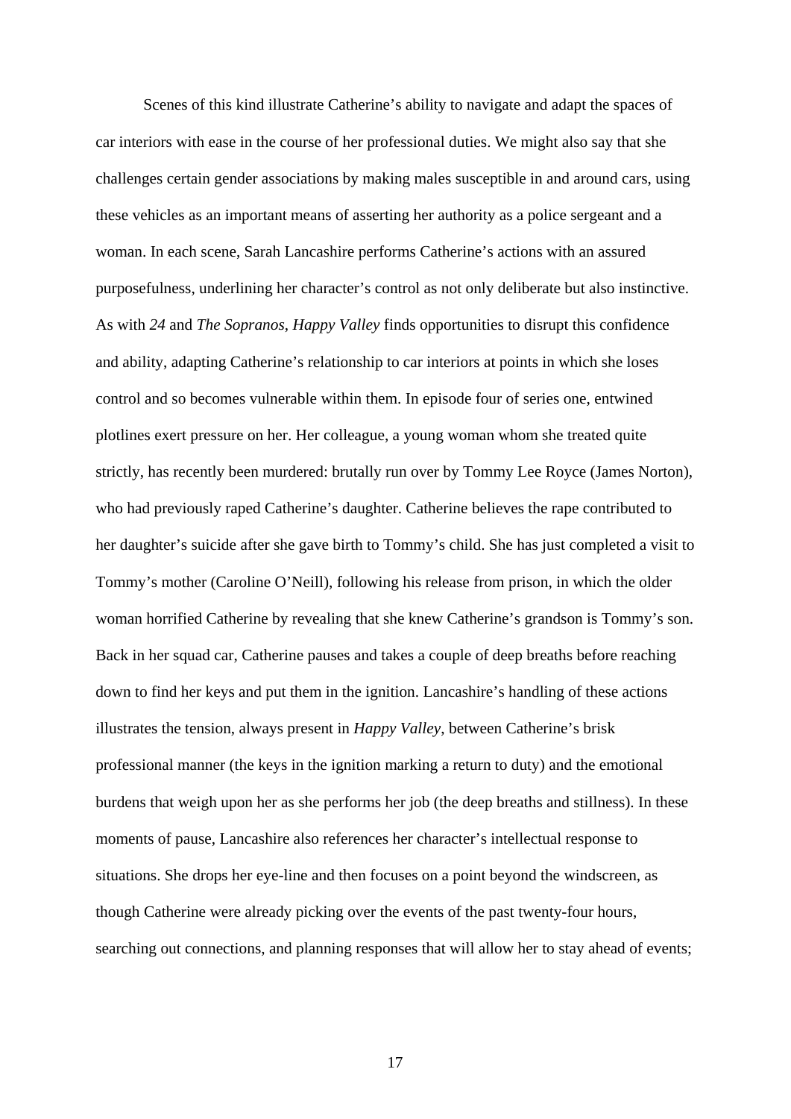Scenes of this kind illustrate Catherine's ability to navigate and adapt the spaces of car interiors with ease in the course of her professional duties. We might also say that she challenges certain gender associations by making males susceptible in and around cars, using these vehicles as an important means of asserting her authority as a police sergeant and a woman. In each scene, Sarah Lancashire performs Catherine's actions with an assured purposefulness, underlining her character's control as not only deliberate but also instinctive. As with *24* and *The Sopranos*, *Happy Valley* finds opportunities to disrupt this confidence and ability, adapting Catherine's relationship to car interiors at points in which she loses control and so becomes vulnerable within them. In episode four of series one, entwined plotlines exert pressure on her. Her colleague, a young woman whom she treated quite strictly, has recently been murdered: brutally run over by Tommy Lee Royce (James Norton), who had previously raped Catherine's daughter. Catherine believes the rape contributed to her daughter's suicide after she gave birth to Tommy's child. She has just completed a visit to Tommy's mother (Caroline O'Neill), following his release from prison, in which the older woman horrified Catherine by revealing that she knew Catherine's grandson is Tommy's son. Back in her squad car, Catherine pauses and takes a couple of deep breaths before reaching down to find her keys and put them in the ignition. Lancashire's handling of these actions illustrates the tension, always present in *Happy Valley*, between Catherine's brisk professional manner (the keys in the ignition marking a return to duty) and the emotional burdens that weigh upon her as she performs her job (the deep breaths and stillness). In these moments of pause, Lancashire also references her character's intellectual response to situations. She drops her eye-line and then focuses on a point beyond the windscreen, as though Catherine were already picking over the events of the past twenty-four hours, searching out connections, and planning responses that will allow her to stay ahead of events;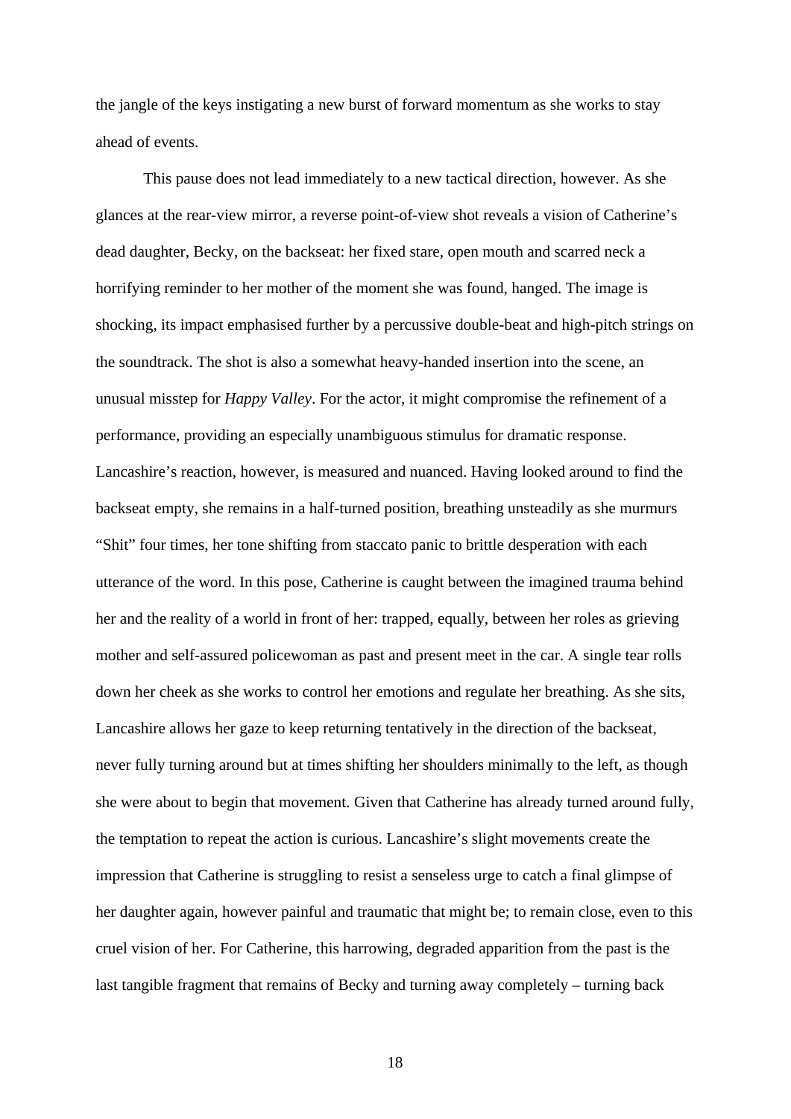the jangle of the keys instigating a new burst of forward momentum as she works to stay ahead of events.

 This pause does not lead immediately to a new tactical direction, however. As she glances at the rear-view mirror, a reverse point-of-view shot reveals a vision of Catherine's dead daughter, Becky, on the backseat: her fixed stare, open mouth and scarred neck a horrifying reminder to her mother of the moment she was found, hanged. The image is shocking, its impact emphasised further by a percussive double-beat and high-pitch strings on the soundtrack. The shot is also a somewhat heavy-handed insertion into the scene, an unusual misstep for *Happy Valley*. For the actor, it might compromise the refinement of a performance, providing an especially unambiguous stimulus for dramatic response. Lancashire's reaction, however, is measured and nuanced. Having looked around to find the backseat empty, she remains in a half-turned position, breathing unsteadily as she murmurs "Shit" four times, her tone shifting from staccato panic to brittle desperation with each utterance of the word. In this pose, Catherine is caught between the imagined trauma behind her and the reality of a world in front of her: trapped, equally, between her roles as grieving mother and self-assured policewoman as past and present meet in the car. A single tear rolls down her cheek as she works to control her emotions and regulate her breathing. As she sits, Lancashire allows her gaze to keep returning tentatively in the direction of the backseat, never fully turning around but at times shifting her shoulders minimally to the left, as though she were about to begin that movement. Given that Catherine has already turned around fully, the temptation to repeat the action is curious. Lancashire's slight movements create the impression that Catherine is struggling to resist a senseless urge to catch a final glimpse of her daughter again, however painful and traumatic that might be; to remain close, even to this cruel vision of her. For Catherine, this harrowing, degraded apparition from the past is the last tangible fragment that remains of Becky and turning away completely – turning back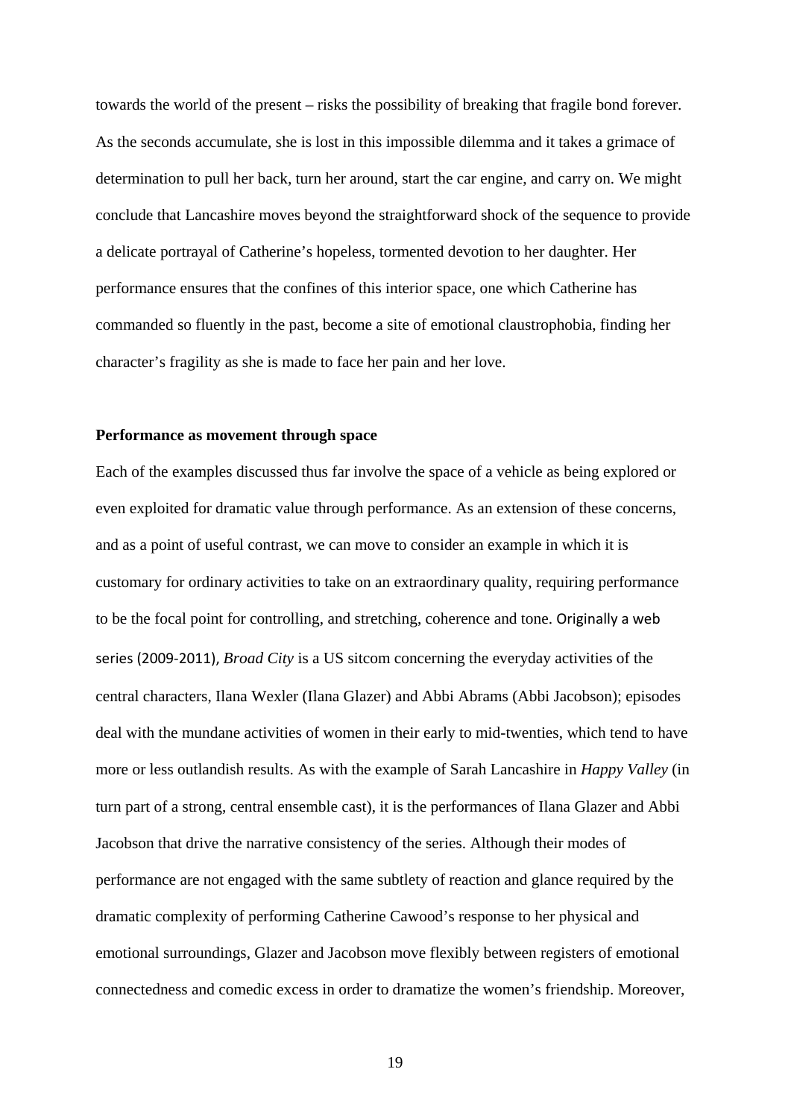towards the world of the present – risks the possibility of breaking that fragile bond forever. As the seconds accumulate, she is lost in this impossible dilemma and it takes a grimace of determination to pull her back, turn her around, start the car engine, and carry on. We might conclude that Lancashire moves beyond the straightforward shock of the sequence to provide a delicate portrayal of Catherine's hopeless, tormented devotion to her daughter. Her performance ensures that the confines of this interior space, one which Catherine has commanded so fluently in the past, become a site of emotional claustrophobia, finding her character's fragility as she is made to face her pain and her love.

#### **Performance as movement through space**

Each of the examples discussed thus far involve the space of a vehicle as being explored or even exploited for dramatic value through performance. As an extension of these concerns, and as a point of useful contrast, we can move to consider an example in which it is customary for ordinary activities to take on an extraordinary quality, requiring performance to be the focal point for controlling, and stretching, coherence and tone. Originally a web series (2009‐2011), *Broad City* is a US sitcom concerning the everyday activities of the central characters, Ilana Wexler (Ilana Glazer) and Abbi Abrams (Abbi Jacobson); episodes deal with the mundane activities of women in their early to mid-twenties, which tend to have more or less outlandish results. As with the example of Sarah Lancashire in *Happy Valley* (in turn part of a strong, central ensemble cast), it is the performances of Ilana Glazer and Abbi Jacobson that drive the narrative consistency of the series. Although their modes of performance are not engaged with the same subtlety of reaction and glance required by the dramatic complexity of performing Catherine Cawood's response to her physical and emotional surroundings, Glazer and Jacobson move flexibly between registers of emotional connectedness and comedic excess in order to dramatize the women's friendship. Moreover,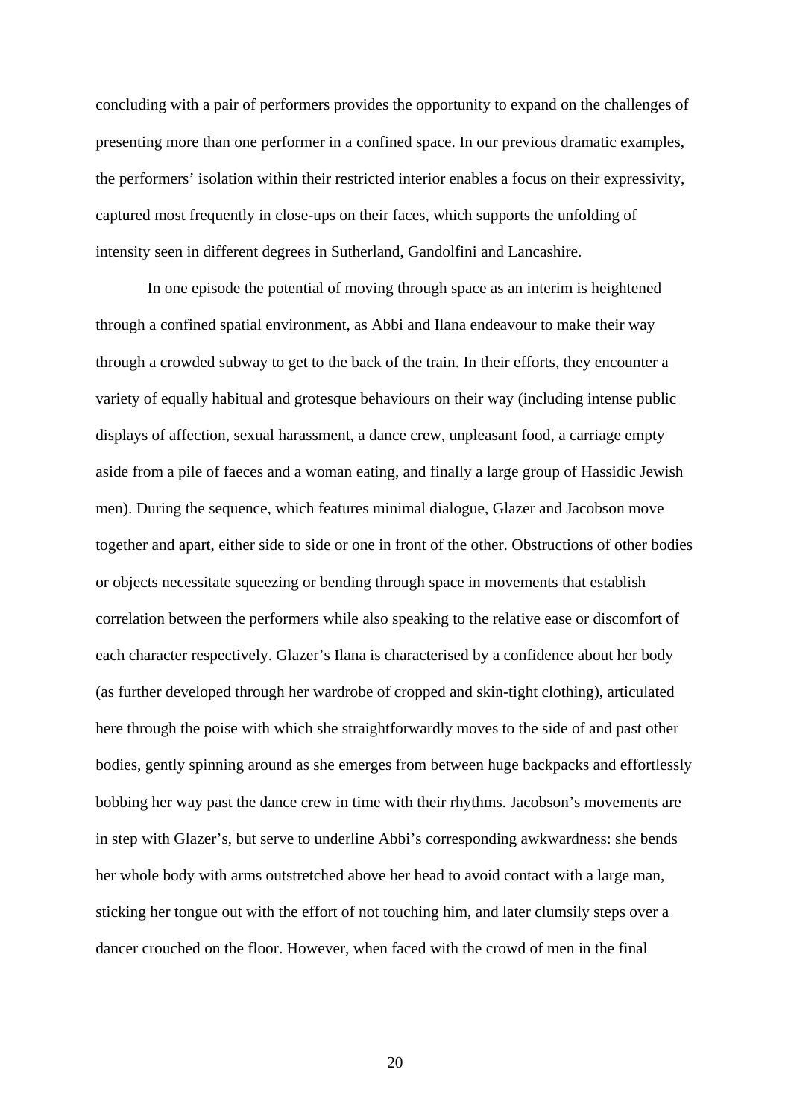concluding with a pair of performers provides the opportunity to expand on the challenges of presenting more than one performer in a confined space. In our previous dramatic examples, the performers' isolation within their restricted interior enables a focus on their expressivity, captured most frequently in close-ups on their faces, which supports the unfolding of intensity seen in different degrees in Sutherland, Gandolfini and Lancashire.

 In one episode the potential of moving through space as an interim is heightened through a confined spatial environment, as Abbi and Ilana endeavour to make their way through a crowded subway to get to the back of the train. In their efforts, they encounter a variety of equally habitual and grotesque behaviours on their way (including intense public displays of affection, sexual harassment, a dance crew, unpleasant food, a carriage empty aside from a pile of faeces and a woman eating, and finally a large group of Hassidic Jewish men). During the sequence, which features minimal dialogue, Glazer and Jacobson move together and apart, either side to side or one in front of the other. Obstructions of other bodies or objects necessitate squeezing or bending through space in movements that establish correlation between the performers while also speaking to the relative ease or discomfort of each character respectively. Glazer's Ilana is characterised by a confidence about her body (as further developed through her wardrobe of cropped and skin-tight clothing), articulated here through the poise with which she straightforwardly moves to the side of and past other bodies, gently spinning around as she emerges from between huge backpacks and effortlessly bobbing her way past the dance crew in time with their rhythms. Jacobson's movements are in step with Glazer's, but serve to underline Abbi's corresponding awkwardness: she bends her whole body with arms outstretched above her head to avoid contact with a large man, sticking her tongue out with the effort of not touching him, and later clumsily steps over a dancer crouched on the floor. However, when faced with the crowd of men in the final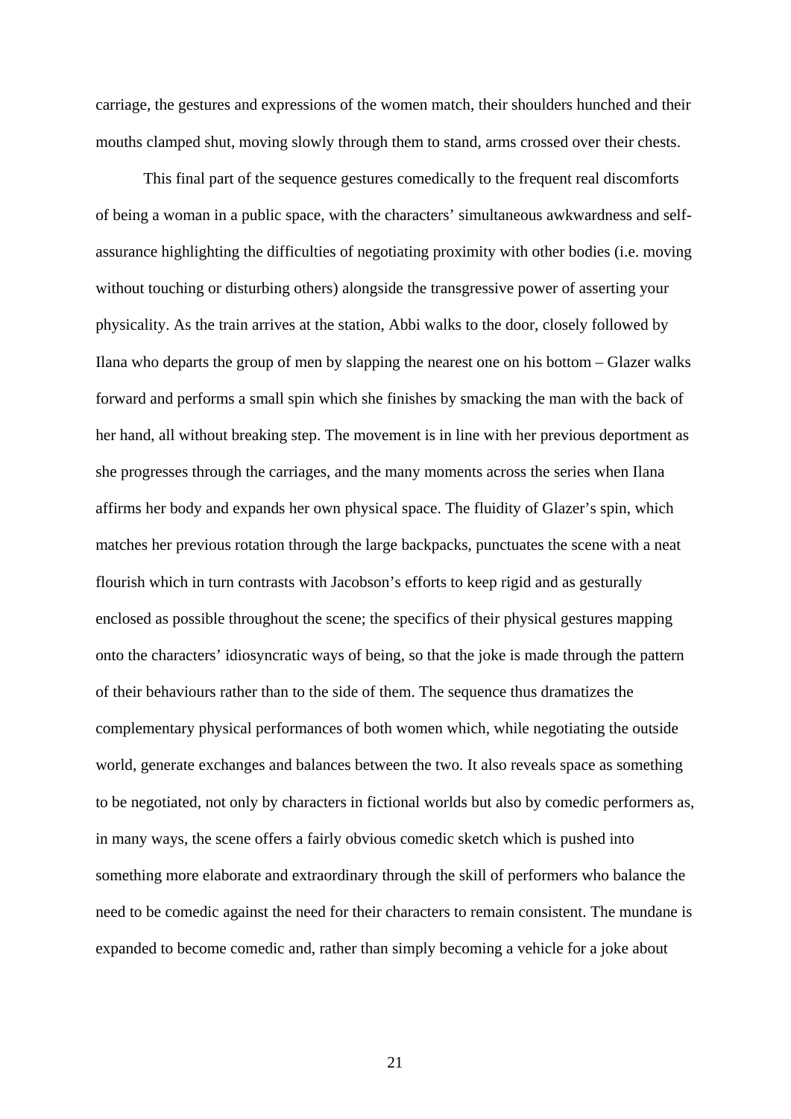carriage, the gestures and expressions of the women match, their shoulders hunched and their mouths clamped shut, moving slowly through them to stand, arms crossed over their chests.

 This final part of the sequence gestures comedically to the frequent real discomforts of being a woman in a public space, with the characters' simultaneous awkwardness and selfassurance highlighting the difficulties of negotiating proximity with other bodies (i.e. moving without touching or disturbing others) alongside the transgressive power of asserting your physicality. As the train arrives at the station, Abbi walks to the door, closely followed by Ilana who departs the group of men by slapping the nearest one on his bottom – Glazer walks forward and performs a small spin which she finishes by smacking the man with the back of her hand, all without breaking step. The movement is in line with her previous deportment as she progresses through the carriages, and the many moments across the series when Ilana affirms her body and expands her own physical space. The fluidity of Glazer's spin, which matches her previous rotation through the large backpacks, punctuates the scene with a neat flourish which in turn contrasts with Jacobson's efforts to keep rigid and as gesturally enclosed as possible throughout the scene; the specifics of their physical gestures mapping onto the characters' idiosyncratic ways of being, so that the joke is made through the pattern of their behaviours rather than to the side of them. The sequence thus dramatizes the complementary physical performances of both women which, while negotiating the outside world, generate exchanges and balances between the two. It also reveals space as something to be negotiated, not only by characters in fictional worlds but also by comedic performers as, in many ways, the scene offers a fairly obvious comedic sketch which is pushed into something more elaborate and extraordinary through the skill of performers who balance the need to be comedic against the need for their characters to remain consistent. The mundane is expanded to become comedic and, rather than simply becoming a vehicle for a joke about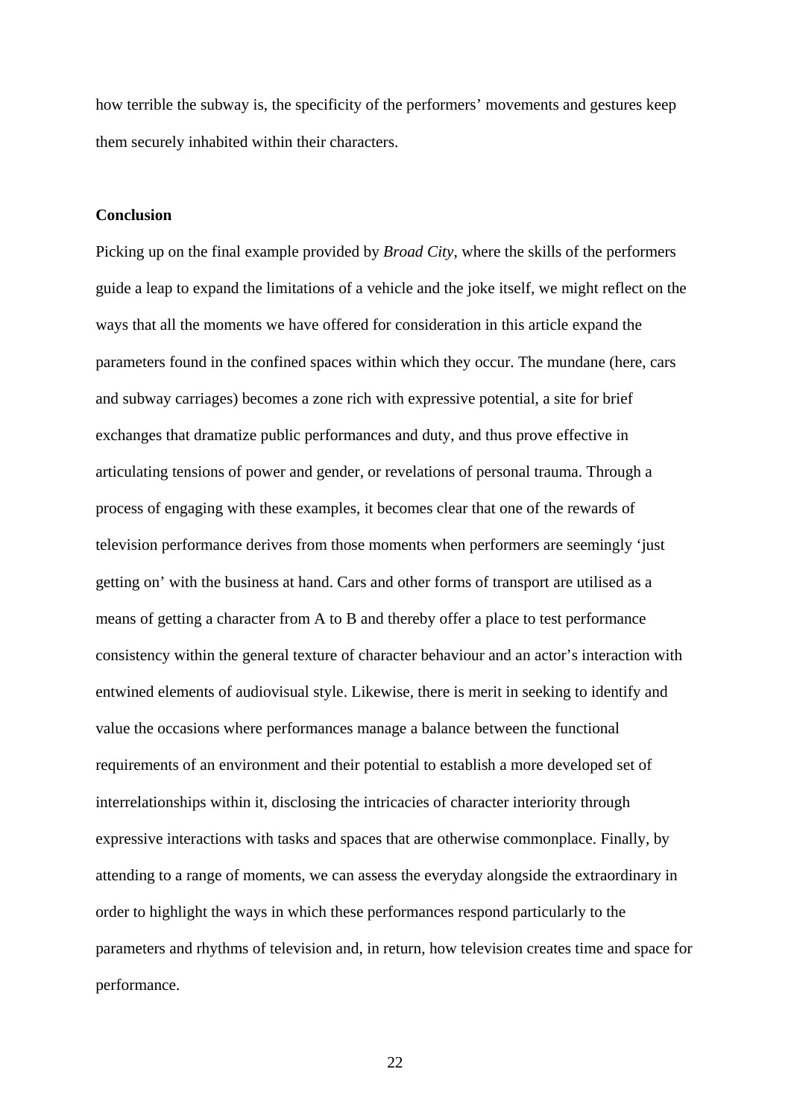how terrible the subway is, the specificity of the performers' movements and gestures keep them securely inhabited within their characters.

#### **Conclusion**

Picking up on the final example provided by *Broad City*, where the skills of the performers guide a leap to expand the limitations of a vehicle and the joke itself, we might reflect on the ways that all the moments we have offered for consideration in this article expand the parameters found in the confined spaces within which they occur. The mundane (here, cars and subway carriages) becomes a zone rich with expressive potential, a site for brief exchanges that dramatize public performances and duty, and thus prove effective in articulating tensions of power and gender, or revelations of personal trauma. Through a process of engaging with these examples, it becomes clear that one of the rewards of television performance derives from those moments when performers are seemingly 'just getting on' with the business at hand. Cars and other forms of transport are utilised as a means of getting a character from A to B and thereby offer a place to test performance consistency within the general texture of character behaviour and an actor's interaction with entwined elements of audiovisual style. Likewise, there is merit in seeking to identify and value the occasions where performances manage a balance between the functional requirements of an environment and their potential to establish a more developed set of interrelationships within it, disclosing the intricacies of character interiority through expressive interactions with tasks and spaces that are otherwise commonplace. Finally, by attending to a range of moments, we can assess the everyday alongside the extraordinary in order to highlight the ways in which these performances respond particularly to the parameters and rhythms of television and, in return, how television creates time and space for performance.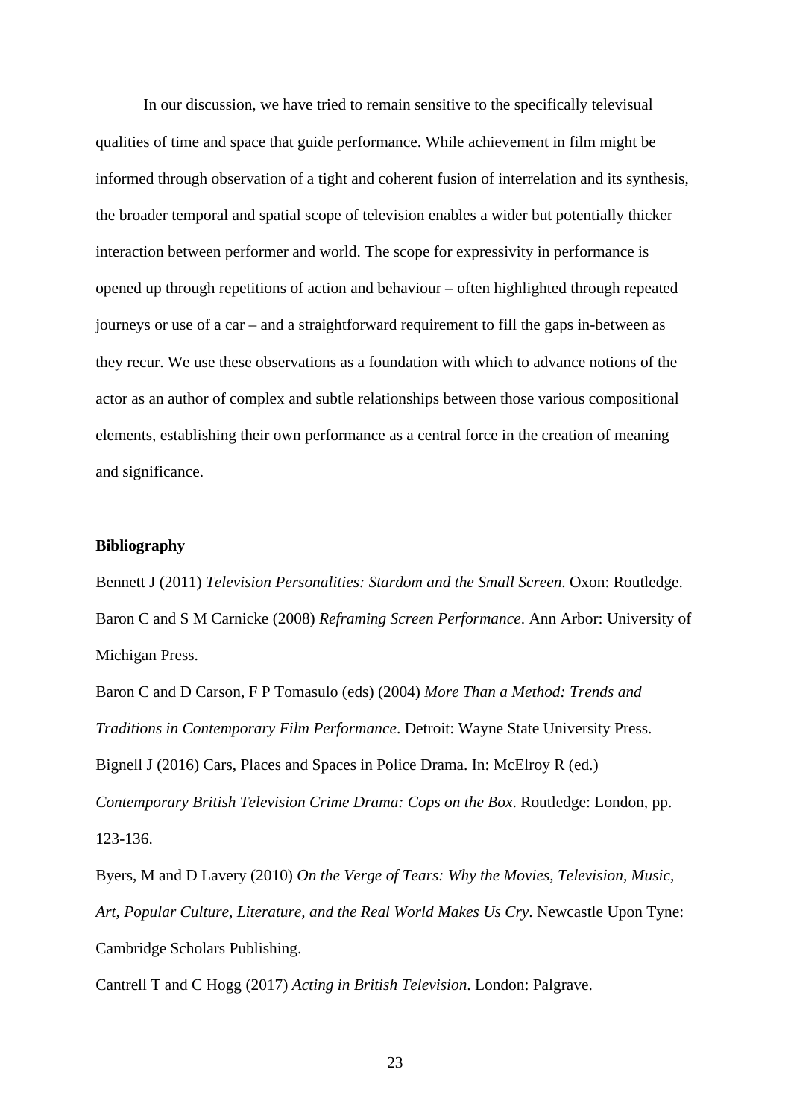In our discussion, we have tried to remain sensitive to the specifically televisual qualities of time and space that guide performance. While achievement in film might be informed through observation of a tight and coherent fusion of interrelation and its synthesis, the broader temporal and spatial scope of television enables a wider but potentially thicker interaction between performer and world. The scope for expressivity in performance is opened up through repetitions of action and behaviour – often highlighted through repeated journeys or use of a car – and a straightforward requirement to fill the gaps in-between as they recur. We use these observations as a foundation with which to advance notions of the actor as an author of complex and subtle relationships between those various compositional elements, establishing their own performance as a central force in the creation of meaning and significance.

## **Bibliography**

Bennett J (2011) *Television Personalities: Stardom and the Small Screen*. Oxon: Routledge. Baron C and S M Carnicke (2008) *Reframing Screen Performance*. Ann Arbor: University of Michigan Press.

Baron C and D Carson, F P Tomasulo (eds) (2004) *More Than a Method: Trends and Traditions in Contemporary Film Performance*. Detroit: Wayne State University Press. Bignell J (2016) Cars, Places and Spaces in Police Drama. In: McElroy R (ed.) *Contemporary British Television Crime Drama: Cops on the Box*. Routledge: London, pp. 123-136.

Byers, M and D Lavery (2010) *On the Verge of Tears: Why the Movies, Television, Music, Art, Popular Culture, Literature, and the Real World Makes Us Cry*. Newcastle Upon Tyne: Cambridge Scholars Publishing.

Cantrell T and C Hogg (2017) *Acting in British Television*. London: Palgrave.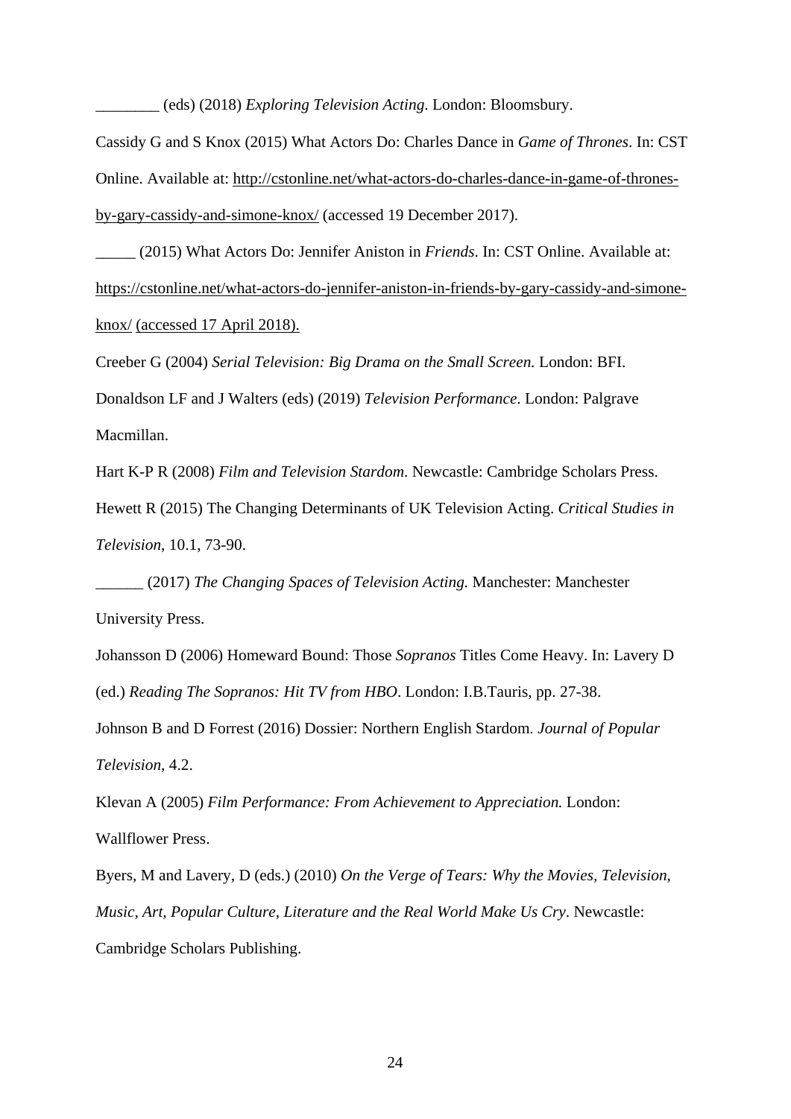\_\_\_\_\_\_\_\_ (eds) (2018) *Exploring Television Acting*. London: Bloomsbury.

Cassidy G and S Knox (2015) What Actors Do: Charles Dance in *Game of Thrones*. In: CST Online. Available at: http://cstonline.net/what-actors-do-charles-dance-in-game-of-thronesby-gary-cassidy-and-simone-knox/ (accessed 19 December 2017).

\_\_\_\_\_ (2015) What Actors Do: Jennifer Aniston in *Friends*. In: CST Online. Available at: https://cstonline.net/what-actors-do-jennifer-aniston-in-friends-by-gary-cassidy-and-simoneknox/ (accessed 17 April 2018).

Creeber G (2004) *Serial Television: Big Drama on the Small Screen.* London: BFI.

Donaldson LF and J Walters (eds) (2019) *Television Performance*. London: Palgrave Macmillan.

Hart K-P R (2008) *Film and Television Stardom*. Newcastle: Cambridge Scholars Press.

Hewett R (2015) The Changing Determinants of UK Television Acting. *Critical Studies in Television*, 10.1, 73-90.

\_\_\_\_\_\_ (2017) *The Changing Spaces of Television Acting.* Manchester: Manchester University Press.

Johansson D (2006) Homeward Bound: Those *Sopranos* Titles Come Heavy. In: Lavery D (ed.) *Reading The Sopranos: Hit TV from HBO*. London: I.B.Tauris, pp. 27-38.

Johnson B and D Forrest (2016) Dossier: Northern English Stardom. *Journal of Popular Television*, 4.2.

Klevan A (2005) *Film Performance: From Achievement to Appreciation.* London: Wallflower Press.

Byers, M and Lavery, D (eds.) (2010) *On the Verge of Tears: Why the Movies, Television, Music, Art, Popular Culture, Literature and the Real World Make Us Cry*. Newcastle: Cambridge Scholars Publishing.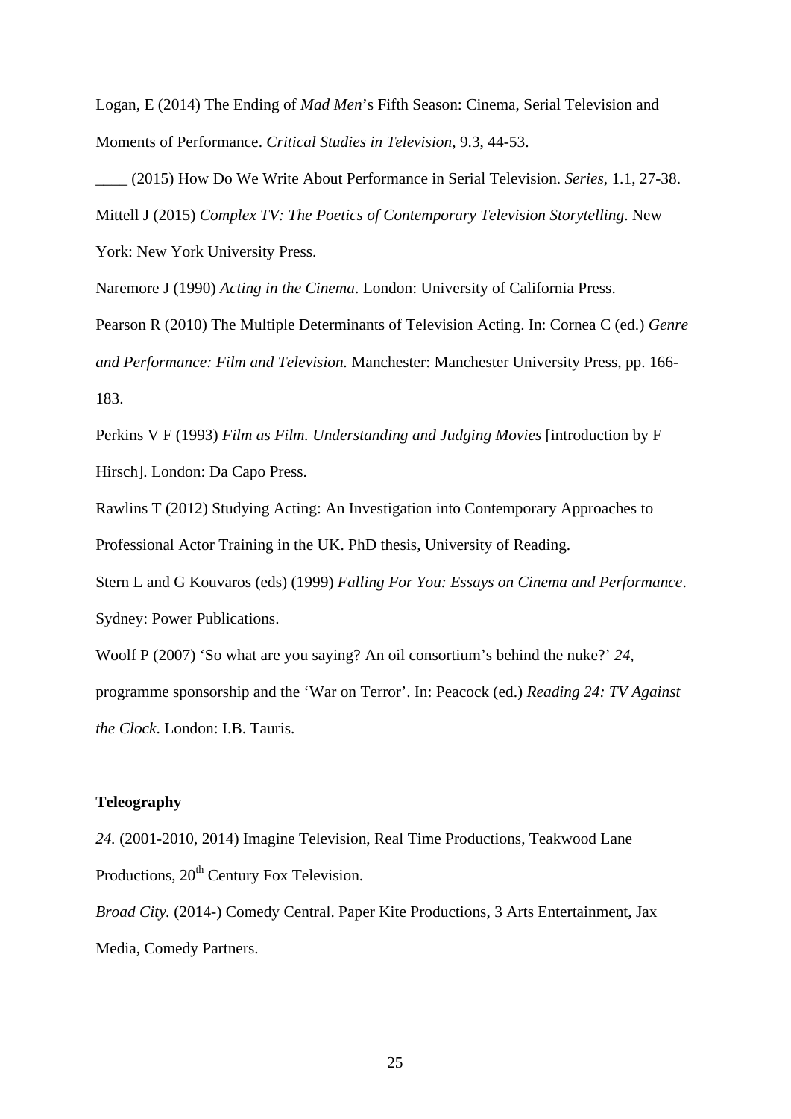Logan, E (2014) The Ending of *Mad Men*'s Fifth Season: Cinema, Serial Television and Moments of Performance. *Critical Studies in Television*, 9.3, 44-53.

\_\_\_\_ (2015) How Do We Write About Performance in Serial Television. *Series*, 1.1, 27-38. Mittell J (2015) *Complex TV: The Poetics of Contemporary Television Storytelling*. New York: New York University Press.

Naremore J (1990) *Acting in the Cinema*. London: University of California Press.

Pearson R (2010) The Multiple Determinants of Television Acting. In: Cornea C (ed.) *Genre and Performance: Film and Television.* Manchester: Manchester University Press, pp. 166- 183.

Perkins V F (1993) *Film as Film. Understanding and Judging Movies* [introduction by F Hirsch]. London: Da Capo Press.

Rawlins T (2012) Studying Acting: An Investigation into Contemporary Approaches to Professional Actor Training in the UK. PhD thesis, University of Reading.

Stern L and G Kouvaros (eds) (1999) *Falling For You: Essays on Cinema and Performance*. Sydney: Power Publications.

Woolf P (2007) 'So what are you saying? An oil consortium's behind the nuke?' *24*, programme sponsorship and the 'War on Terror'. In: Peacock (ed.) *Reading 24: TV Against the Clock*. London: I.B. Tauris.

### **Teleography**

*24.* (2001-2010, 2014) Imagine Television, Real Time Productions, Teakwood Lane Productions, 20<sup>th</sup> Century Fox Television.

*Broad City.* (2014-) Comedy Central. Paper Kite Productions, 3 Arts Entertainment, Jax Media, Comedy Partners.